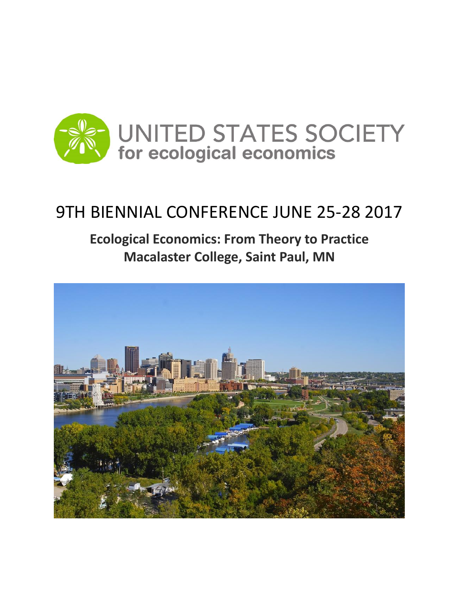

## 9TH BIENNIAL CONFERENCE JUNE 25-28 2017

### **Ecological Economics: From Theory to Practice Macalaster College, Saint Paul, MN**

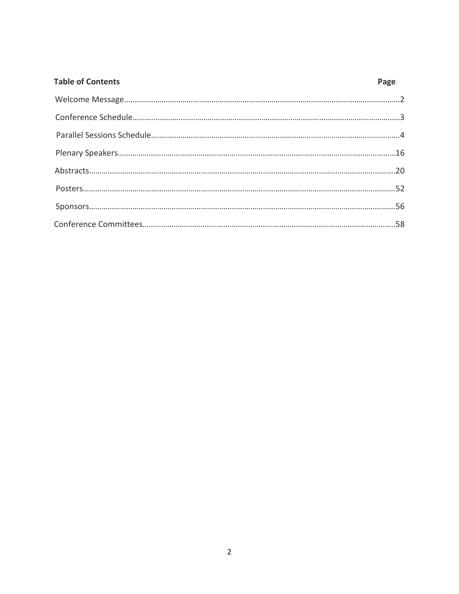| <b>Table of Contents</b> | Page |
|--------------------------|------|
|                          |      |
|                          |      |
|                          |      |
|                          |      |
|                          |      |
|                          |      |
|                          |      |
|                          |      |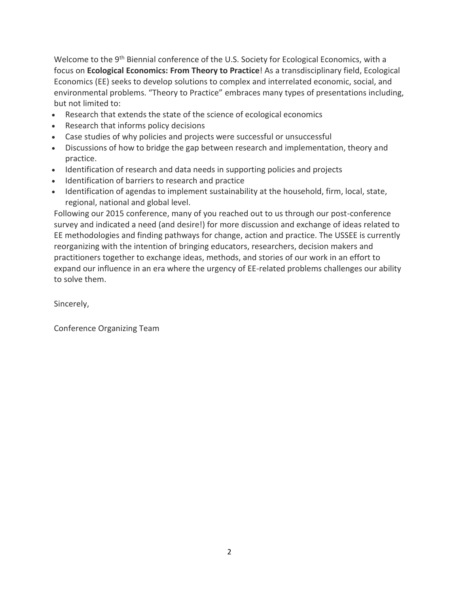Welcome to the 9<sup>th</sup> Biennial conference of the U.S. Society for Ecological Economics, with a focus on **Ecological Economics: From Theory to Practice**! As a transdisciplinary field, Ecological Economics (EE) seeks to develop solutions to complex and interrelated economic, social, and environmental problems. "Theory to Practice" embraces many types of presentations including, but not limited to:

- Research that extends the state of the science of ecological economics
- Research that informs policy decisions
- Case studies of why policies and projects were successful or unsuccessful
- Discussions of how to bridge the gap between research and implementation, theory and practice.
- Identification of research and data needs in supporting policies and projects
- Identification of barriers to research and practice
- Identification of agendas to implement sustainability at the household, firm, local, state, regional, national and global level.

Following our 2015 conference, many of you reached out to us through our post-conference survey and indicated a need (and desire!) for more discussion and exchange of ideas related to EE methodologies and finding pathways for change, action and practice. The USSEE is currently reorganizing with the intention of bringing educators, researchers, decision makers and practitioners together to exchange ideas, methods, and stories of our work in an effort to expand our influence in an era where the urgency of EE-related problems challenges our ability to solve them.

Sincerely,

Conference Organizing Team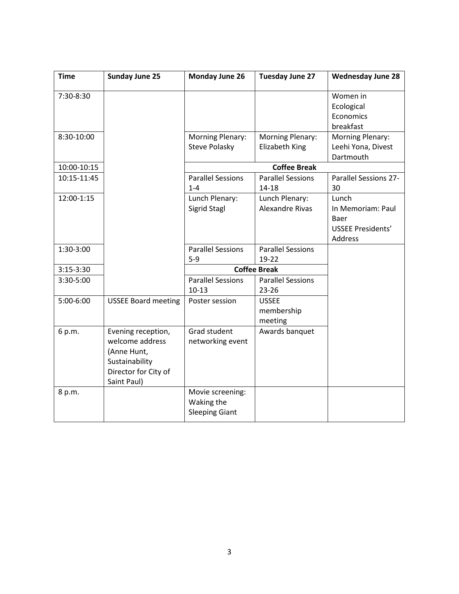| <b>Time</b> | <b>Sunday June 25</b>                                                                                         | Monday June 26                                          | Tuesday June 27                           | <b>Wednesday June 28</b>                                                  |
|-------------|---------------------------------------------------------------------------------------------------------------|---------------------------------------------------------|-------------------------------------------|---------------------------------------------------------------------------|
| 7:30-8:30   |                                                                                                               |                                                         |                                           | Women in<br>Ecological<br>Economics<br>breakfast                          |
| 8:30-10:00  |                                                                                                               | <b>Morning Plenary:</b><br><b>Steve Polasky</b>         | <b>Morning Plenary:</b><br>Elizabeth King | <b>Morning Plenary:</b><br>Leehi Yona, Divest<br>Dartmouth                |
| 10:00-10:15 |                                                                                                               |                                                         | <b>Coffee Break</b>                       |                                                                           |
| 10:15-11:45 |                                                                                                               | <b>Parallel Sessions</b><br>$1 - 4$                     | <b>Parallel Sessions</b><br>$14 - 18$     | Parallel Sessions 27-<br>30                                               |
| 12:00-1:15  |                                                                                                               | Lunch Plenary:<br>Sigrid Stagl                          | Lunch Plenary:<br><b>Alexandre Rivas</b>  | Lunch<br>In Memoriam: Paul<br>Baer<br><b>USSEE Presidents'</b><br>Address |
| 1:30-3:00   |                                                                                                               | <b>Parallel Sessions</b><br>$5 - 9$                     | <b>Parallel Sessions</b><br>19-22         |                                                                           |
| $3:15-3:30$ |                                                                                                               |                                                         | <b>Coffee Break</b>                       |                                                                           |
| 3:30-5:00   |                                                                                                               | <b>Parallel Sessions</b><br>$10-13$                     | <b>Parallel Sessions</b><br>$23 - 26$     |                                                                           |
| 5:00-6:00   | <b>USSEE Board meeting</b>                                                                                    | Poster session                                          | <b>USSEE</b><br>membership<br>meeting     |                                                                           |
| 6 p.m.      | Evening reception,<br>welcome address<br>(Anne Hunt,<br>Sustainability<br>Director for City of<br>Saint Paul) | Grad student<br>networking event                        | Awards banquet                            |                                                                           |
| 8 p.m.      |                                                                                                               | Movie screening:<br>Waking the<br><b>Sleeping Giant</b> |                                           |                                                                           |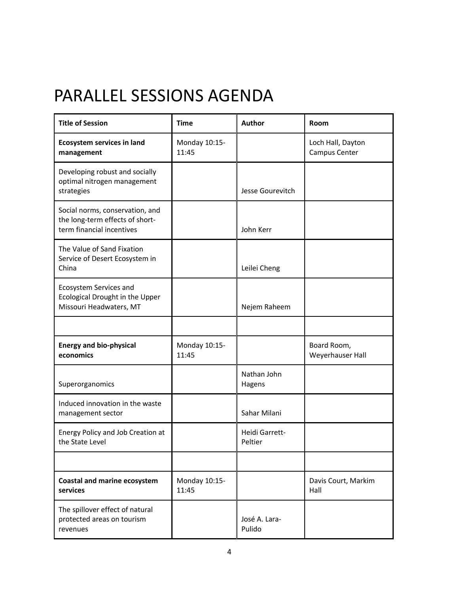## PARALLEL SESSIONS AGENDA

| <b>Title of Session</b>                                                                         | <b>Time</b>            | Author                           | Room                               |
|-------------------------------------------------------------------------------------------------|------------------------|----------------------------------|------------------------------------|
| <b>Ecosystem services in land</b><br>management                                                 | Monday 10:15-<br>11:45 |                                  | Loch Hall, Dayton<br>Campus Center |
| Developing robust and socially<br>optimal nitrogen management<br>strategies                     |                        | Jesse Gourevitch                 |                                    |
| Social norms, conservation, and<br>the long-term effects of short-<br>term financial incentives |                        | John Kerr                        |                                    |
| The Value of Sand Fixation<br>Service of Desert Ecosystem in<br>China                           |                        | Leilei Cheng                     |                                    |
| Ecosystem Services and<br>Ecological Drought in the Upper<br>Missouri Headwaters, MT            |                        | Nejem Raheem                     |                                    |
|                                                                                                 |                        |                                  |                                    |
| <b>Energy and bio-physical</b><br>economics                                                     | Monday 10:15-<br>11:45 |                                  | Board Room,<br>Weyerhauser Hall    |
| Superorganomics                                                                                 |                        | Nathan John<br>Hagens            |                                    |
| Induced innovation in the waste<br>management sector                                            |                        | Sahar Milani                     |                                    |
| Energy Policy and Job Creation at<br>the State Level                                            |                        | <b>Heidi Garrett-</b><br>Peltier |                                    |
|                                                                                                 |                        |                                  |                                    |
| <b>Coastal and marine ecosystem</b><br>services                                                 | Monday 10:15-<br>11:45 |                                  | Davis Court, Markim<br>Hall        |
| The spillover effect of natural<br>protected areas on tourism<br>revenues                       |                        | José A. Lara-<br>Pulido          |                                    |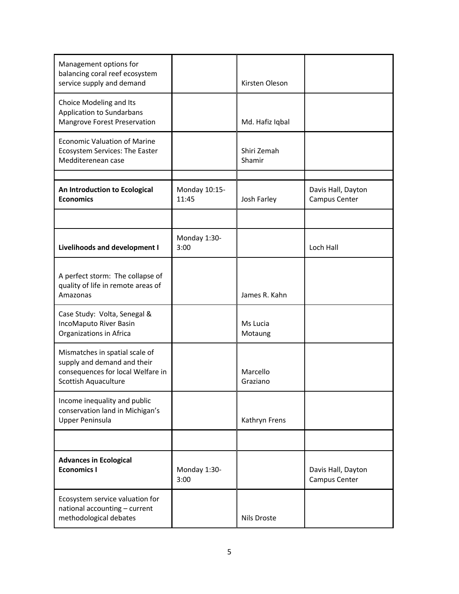| Management options for<br>balancing coral reef ecosystem<br>service supply and demand                                      |                        | Kirsten Oleson        |                                     |
|----------------------------------------------------------------------------------------------------------------------------|------------------------|-----------------------|-------------------------------------|
| Choice Modeling and Its<br>Application to Sundarbans<br>Mangrove Forest Preservation                                       |                        | Md. Hafiz Iqbal       |                                     |
| <b>Economic Valuation of Marine</b><br>Ecosystem Services: The Easter<br>Medditerenean case                                |                        | Shiri Zemah<br>Shamir |                                     |
| An Introduction to Ecological<br><b>Economics</b>                                                                          | Monday 10:15-<br>11:45 | Josh Farley           | Davis Hall, Dayton<br>Campus Center |
|                                                                                                                            |                        |                       |                                     |
| Livelihoods and development I                                                                                              | Monday 1:30-<br>3:00   |                       | Loch Hall                           |
| A perfect storm: The collapse of<br>quality of life in remote areas of<br>Amazonas                                         |                        | James R. Kahn         |                                     |
| Case Study: Volta, Senegal &<br>IncoMaputo River Basin<br>Organizations in Africa                                          |                        | Ms Lucia<br>Motaung   |                                     |
| Mismatches in spatial scale of<br>supply and demand and their<br>consequences for local Welfare in<br>Scottish Aquaculture |                        | Marcello<br>Graziano  |                                     |
| Income inequality and public<br>conservation land in Michigan's<br><b>Upper Peninsula</b>                                  |                        | Kathryn Frens         |                                     |
|                                                                                                                            |                        |                       |                                     |
| <b>Advances in Ecological</b><br><b>Economics I</b>                                                                        | Monday 1:30-<br>3:00   |                       | Davis Hall, Dayton<br>Campus Center |
| Ecosystem service valuation for<br>national accounting - current<br>methodological debates                                 |                        | Nils Droste           |                                     |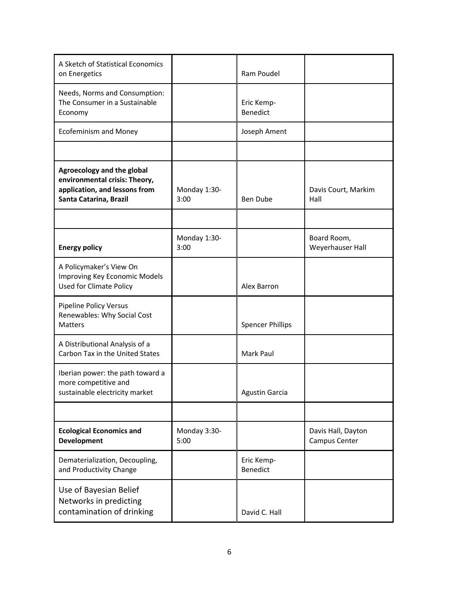| A Sketch of Statistical Economics<br>on Energetics                                                                     |                      | Ram Poudel              |                                     |
|------------------------------------------------------------------------------------------------------------------------|----------------------|-------------------------|-------------------------------------|
| Needs, Norms and Consumption:<br>The Consumer in a Sustainable<br>Economy                                              |                      | Eric Kemp-<br>Benedict  |                                     |
| <b>Ecofeminism and Money</b>                                                                                           |                      | Joseph Ament            |                                     |
|                                                                                                                        |                      |                         |                                     |
| Agroecology and the global<br>environmental crisis: Theory,<br>application, and lessons from<br>Santa Catarina, Brazil | Monday 1:30-<br>3:00 | <b>Ben Dube</b>         | Davis Court, Markim<br>Hall         |
|                                                                                                                        |                      |                         |                                     |
| <b>Energy policy</b>                                                                                                   | Monday 1:30-<br>3:00 |                         | Board Room,<br>Weyerhauser Hall     |
| A Policymaker's View On<br>Improving Key Economic Models<br><b>Used for Climate Policy</b>                             |                      | Alex Barron             |                                     |
| <b>Pipeline Policy Versus</b><br>Renewables: Why Social Cost<br><b>Matters</b>                                         |                      | <b>Spencer Phillips</b> |                                     |
| A Distributional Analysis of a<br>Carbon Tax in the United States                                                      |                      | Mark Paul               |                                     |
| Iberian power: the path toward a<br>more competitive and<br>sustainable electricity market                             |                      | <b>Agustin Garcia</b>   |                                     |
|                                                                                                                        |                      |                         |                                     |
| <b>Ecological Economics and</b><br><b>Development</b>                                                                  | Monday 3:30-<br>5:00 |                         | Davis Hall, Dayton<br>Campus Center |
| Dematerialization, Decoupling,<br>and Productivity Change                                                              |                      | Eric Kemp-<br>Benedict  |                                     |
| Use of Bayesian Belief<br>Networks in predicting<br>contamination of drinking                                          |                      | David C. Hall           |                                     |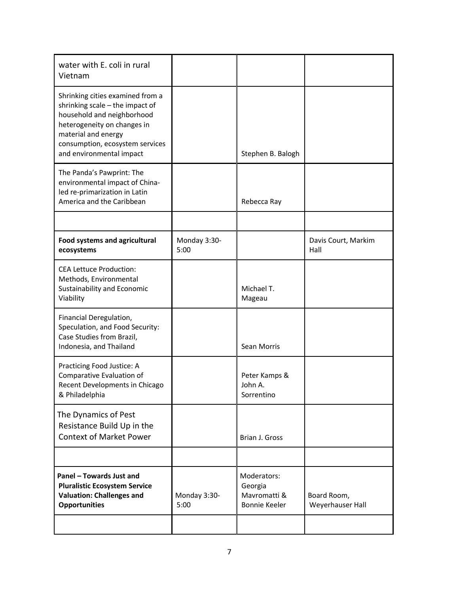| water with E. coli in rural<br>Vietnam                                                                                                                                                                                 |                      |                                                                |                                 |
|------------------------------------------------------------------------------------------------------------------------------------------------------------------------------------------------------------------------|----------------------|----------------------------------------------------------------|---------------------------------|
| Shrinking cities examined from a<br>shrinking scale - the impact of<br>household and neighborhood<br>heterogeneity on changes in<br>material and energy<br>consumption, ecosystem services<br>and environmental impact |                      | Stephen B. Balogh                                              |                                 |
| The Panda's Pawprint: The<br>environmental impact of China-<br>led re-primarization in Latin<br>America and the Caribbean                                                                                              |                      | Rebecca Ray                                                    |                                 |
|                                                                                                                                                                                                                        |                      |                                                                |                                 |
| <b>Food systems and agricultural</b><br>ecosystems                                                                                                                                                                     | Monday 3:30-<br>5:00 |                                                                | Davis Court, Markim<br>Hall     |
| <b>CEA Lettuce Production:</b><br>Methods, Environmental<br>Sustainability and Economic<br>Viability                                                                                                                   |                      | Michael T.<br>Mageau                                           |                                 |
| Financial Deregulation,<br>Speculation, and Food Security:<br>Case Studies from Brazil,<br>Indonesia, and Thailand                                                                                                     |                      | Sean Morris                                                    |                                 |
| Practicing Food Justice: A<br>Comparative Evaluation of<br>Recent Developments in Chicago<br>& Philadelphia                                                                                                            |                      | Peter Kamps &<br>John A.<br>Sorrentino                         |                                 |
| The Dynamics of Pest<br>Resistance Build Up in the<br><b>Context of Market Power</b>                                                                                                                                   |                      | Brian J. Gross                                                 |                                 |
|                                                                                                                                                                                                                        |                      |                                                                |                                 |
| Panel - Towards Just and<br><b>Pluralistic Ecosystem Service</b><br><b>Valuation: Challenges and</b><br><b>Opportunities</b>                                                                                           | Monday 3:30-<br>5:00 | Moderators:<br>Georgia<br>Mavromatti &<br><b>Bonnie Keeler</b> | Board Room,<br>Weyerhauser Hall |
|                                                                                                                                                                                                                        |                      |                                                                |                                 |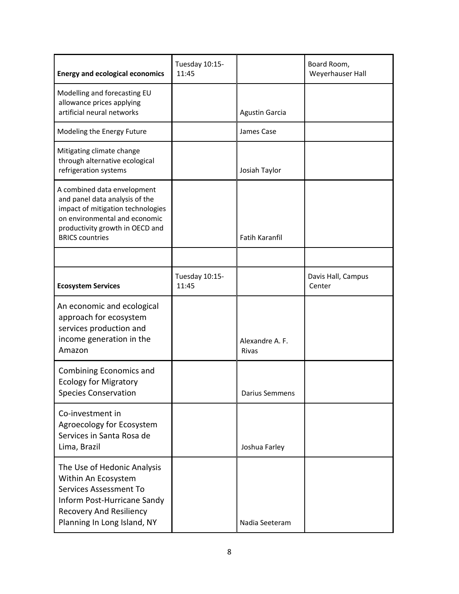| <b>Energy and ecological economics</b>                                                                                                                                                           | Tuesday 10:15-<br>11:45 |                                 | Board Room,<br>Weyerhauser Hall |
|--------------------------------------------------------------------------------------------------------------------------------------------------------------------------------------------------|-------------------------|---------------------------------|---------------------------------|
| Modelling and forecasting EU<br>allowance prices applying<br>artificial neural networks                                                                                                          |                         | <b>Agustin Garcia</b>           |                                 |
| Modeling the Energy Future                                                                                                                                                                       |                         | James Case                      |                                 |
| Mitigating climate change<br>through alternative ecological<br>refrigeration systems                                                                                                             |                         | Josiah Taylor                   |                                 |
| A combined data envelopment<br>and panel data analysis of the<br>impact of mitigation technologies<br>on environmental and economic<br>productivity growth in OECD and<br><b>BRICS countries</b> |                         | <b>Fatih Karanfil</b>           |                                 |
|                                                                                                                                                                                                  |                         |                                 |                                 |
| <b>Ecosystem Services</b>                                                                                                                                                                        | Tuesday 10:15-<br>11:45 |                                 | Davis Hall, Campus<br>Center    |
| An economic and ecological<br>approach for ecosystem<br>services production and<br>income generation in the<br>Amazon                                                                            |                         | Alexandre A. F.<br><b>Rivas</b> |                                 |
| Combining Economics and<br><b>Ecology for Migratory</b><br><b>Species Conservation</b>                                                                                                           |                         | <b>Darius Semmens</b>           |                                 |
| Co-investment in<br>Agroecology for Ecosystem<br>Services in Santa Rosa de<br>Lima, Brazil                                                                                                       |                         | Joshua Farley                   |                                 |
| The Use of Hedonic Analysis<br>Within An Ecosystem<br><b>Services Assessment To</b><br>Inform Post-Hurricane Sandy<br><b>Recovery And Resiliency</b><br>Planning In Long Island, NY              |                         | Nadia Seeteram                  |                                 |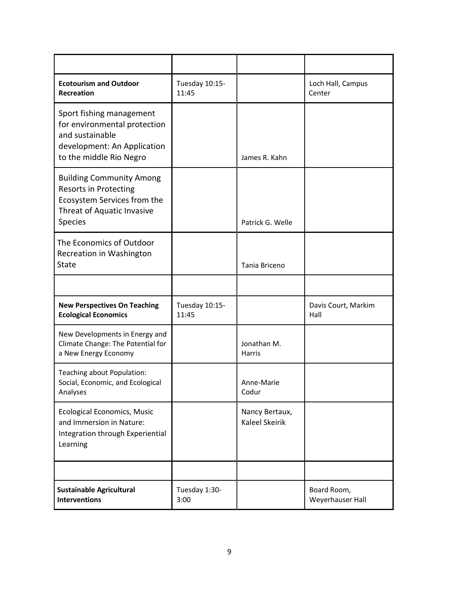| <b>Ecotourism and Outdoor</b><br>Recreation                                                                                             | Tuesday 10:15-<br>11:45 |                                         | Loch Hall, Campus<br>Center     |
|-----------------------------------------------------------------------------------------------------------------------------------------|-------------------------|-----------------------------------------|---------------------------------|
| Sport fishing management<br>for environmental protection<br>and sustainable<br>development: An Application<br>to the middle Rio Negro   |                         | James R. Kahn                           |                                 |
| <b>Building Community Among</b><br><b>Resorts in Protecting</b><br>Ecosystem Services from the<br>Threat of Aquatic Invasive<br>Species |                         | Patrick G. Welle                        |                                 |
| The Economics of Outdoor<br>Recreation in Washington<br>State                                                                           |                         | Tania Briceno                           |                                 |
|                                                                                                                                         |                         |                                         |                                 |
| <b>New Perspectives On Teaching</b><br><b>Ecological Economics</b>                                                                      | Tuesday 10:15-<br>11:45 |                                         | Davis Court, Markim<br>Hall     |
| New Developments in Energy and<br>Climate Change: The Potential for<br>a New Energy Economy                                             |                         | Jonathan M.<br><b>Harris</b>            |                                 |
| Teaching about Population:<br>Social, Economic, and Ecological<br>Analyses                                                              |                         | Anne-Marie<br>Codur                     |                                 |
| <b>Ecological Economics, Music</b><br>and Immersion in Nature:<br>Integration through Experiential<br>Learning                          |                         | Nancy Bertaux,<br><b>Kaleel Skeirik</b> |                                 |
|                                                                                                                                         |                         |                                         |                                 |
| <b>Sustainable Agricultural</b><br><b>Interventions</b>                                                                                 | Tuesday 1:30-<br>3:00   |                                         | Board Room,<br>Weyerhauser Hall |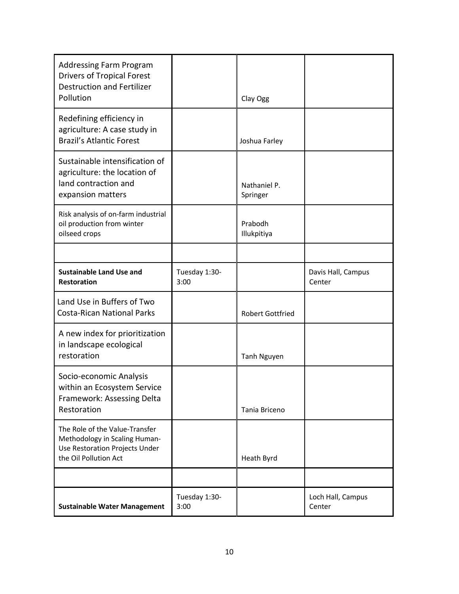| <b>Addressing Farm Program</b><br><b>Drivers of Tropical Forest</b><br><b>Destruction and Fertilizer</b><br>Pollution      |                       | Clay Ogg                 |                              |
|----------------------------------------------------------------------------------------------------------------------------|-----------------------|--------------------------|------------------------------|
| Redefining efficiency in<br>agriculture: A case study in<br><b>Brazil's Atlantic Forest</b>                                |                       | Joshua Farley            |                              |
| Sustainable intensification of<br>agriculture: the location of<br>land contraction and<br>expansion matters                |                       | Nathaniel P.<br>Springer |                              |
| Risk analysis of on-farm industrial<br>oil production from winter<br>oilseed crops                                         |                       | Prabodh<br>Illukpitiya   |                              |
|                                                                                                                            |                       |                          |                              |
| <b>Sustainable Land Use and</b><br><b>Restoration</b>                                                                      | Tuesday 1:30-<br>3:00 |                          | Davis Hall, Campus<br>Center |
| Land Use in Buffers of Two<br><b>Costa-Rican National Parks</b>                                                            |                       | <b>Robert Gottfried</b>  |                              |
| A new index for prioritization<br>in landscape ecological<br>restoration                                                   |                       | Tanh Nguyen              |                              |
| Socio-economic Analysis<br>within an Ecosystem Service<br>Framework: Assessing Delta<br>Restoration                        |                       | Tania Briceno            |                              |
| The Role of the Value-Transfer<br>Methodology in Scaling Human-<br>Use Restoration Projects Under<br>the Oil Pollution Act |                       | Heath Byrd               |                              |
|                                                                                                                            |                       |                          |                              |
| <b>Sustainable Water Management</b>                                                                                        | Tuesday 1:30-<br>3:00 |                          | Loch Hall, Campus<br>Center  |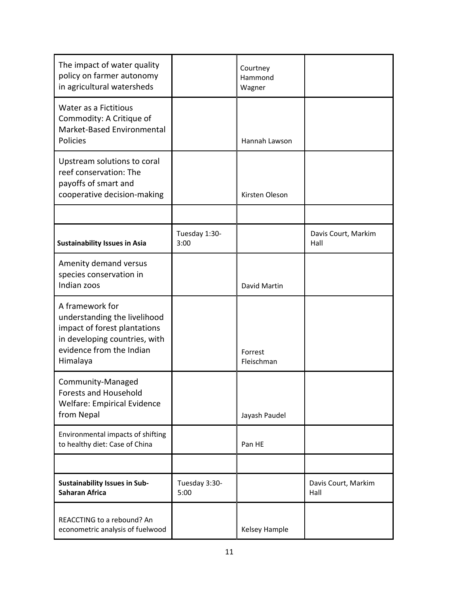| The impact of water quality<br>policy on farmer autonomy<br>in agricultural watersheds                                                                   |                       | Courtney<br>Hammond<br>Wagner |                             |
|----------------------------------------------------------------------------------------------------------------------------------------------------------|-----------------------|-------------------------------|-----------------------------|
| Water as a Fictitious<br>Commodity: A Critique of<br>Market-Based Environmental<br>Policies                                                              |                       | Hannah Lawson                 |                             |
| Upstream solutions to coral<br>reef conservation: The<br>payoffs of smart and<br>cooperative decision-making                                             |                       | Kirsten Oleson                |                             |
| <b>Sustainability Issues in Asia</b>                                                                                                                     | Tuesday 1:30-<br>3:00 |                               | Davis Court, Markim<br>Hall |
| Amenity demand versus<br>species conservation in<br>Indian zoos                                                                                          |                       | David Martin                  |                             |
| A framework for<br>understanding the livelihood<br>impact of forest plantations<br>in developing countries, with<br>evidence from the Indian<br>Himalaya |                       | Forrest<br>Fleischman         |                             |
| Community-Managed<br><b>Forests and Household</b><br>Welfare: Empirical Evidence<br>from Nepal                                                           |                       | Jayash Paudel                 |                             |
| Environmental impacts of shifting<br>to healthy diet: Case of China                                                                                      |                       | Pan HE                        |                             |
|                                                                                                                                                          |                       |                               |                             |
| <b>Sustainability Issues in Sub-</b><br><b>Saharan Africa</b>                                                                                            | Tuesday 3:30-<br>5:00 |                               | Davis Court, Markim<br>Hall |
| REACCTING to a rebound? An<br>econometric analysis of fuelwood                                                                                           |                       | Kelsey Hample                 |                             |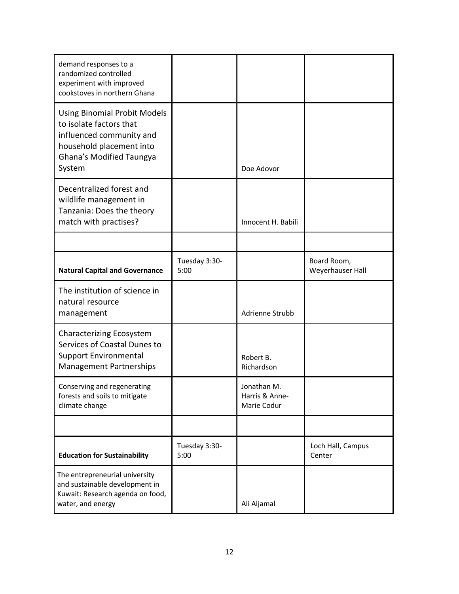| demand responses to a<br>randomized controlled<br>experiment with improved<br>cookstoves in northern Ghana                                                   |                       |                                              |                                 |
|--------------------------------------------------------------------------------------------------------------------------------------------------------------|-----------------------|----------------------------------------------|---------------------------------|
| <b>Using Binomial Probit Models</b><br>to isolate factors that<br>influenced community and<br>household placement into<br>Ghana's Modified Taungya<br>System |                       | Doe Adovor                                   |                                 |
| Decentralized forest and<br>wildlife management in<br>Tanzania: Does the theory<br>match with practises?                                                     |                       | Innocent H. Babili                           |                                 |
|                                                                                                                                                              |                       |                                              |                                 |
| <b>Natural Capital and Governance</b>                                                                                                                        | Tuesday 3:30-<br>5:00 |                                              | Board Room,<br>Weyerhauser Hall |
| The institution of science in<br>natural resource<br>management                                                                                              |                       | Adrienne Strubb                              |                                 |
| <b>Characterizing Ecosystem</b><br>Services of Coastal Dunes to<br><b>Support Environmental</b><br>Management Partnerships                                   |                       | Robert B.<br>Richardson                      |                                 |
| Conserving and regenerating<br>forests and soils to mitigate<br>climate change                                                                               |                       | Jonathan M.<br>Harris & Anne-<br>Marie Codur |                                 |
|                                                                                                                                                              |                       |                                              |                                 |
| <b>Education for Sustainability</b>                                                                                                                          | Tuesday 3:30-<br>5:00 |                                              | Loch Hall, Campus<br>Center     |
| The entrepreneurial university<br>and sustainable development in<br>Kuwait: Research agenda on food,<br>water, and energy                                    |                       | Ali Aljamal                                  |                                 |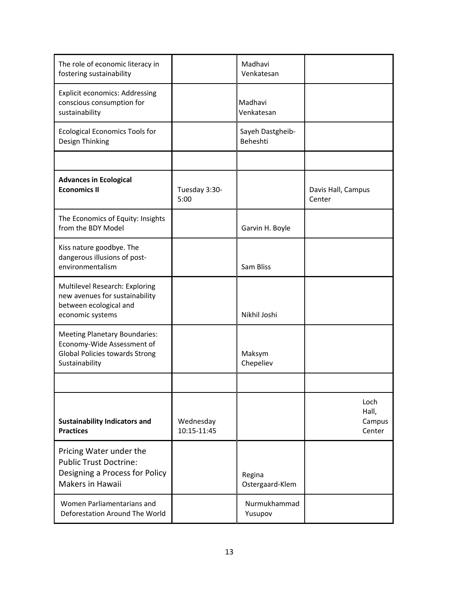| The role of economic literacy in<br>fostering sustainability                                                           |                          | Madhavi<br>Venkatesan        |                                   |
|------------------------------------------------------------------------------------------------------------------------|--------------------------|------------------------------|-----------------------------------|
| <b>Explicit economics: Addressing</b><br>conscious consumption for<br>sustainability                                   |                          | Madhavi<br>Venkatesan        |                                   |
| <b>Ecological Economics Tools for</b><br>Design Thinking                                                               |                          | Sayeh Dastgheib-<br>Beheshti |                                   |
|                                                                                                                        |                          |                              |                                   |
| <b>Advances in Ecological</b><br><b>Economics II</b>                                                                   | Tuesday 3:30-<br>5:00    |                              | Davis Hall, Campus<br>Center      |
| The Economics of Equity: Insights<br>from the BDY Model                                                                |                          | Garvin H. Boyle              |                                   |
| Kiss nature goodbye. The<br>dangerous illusions of post-<br>environmentalism                                           |                          | Sam Bliss                    |                                   |
| Multilevel Research: Exploring<br>new avenues for sustainability<br>between ecological and<br>economic systems         |                          | Nikhil Joshi                 |                                   |
| <b>Meeting Planetary Boundaries:</b><br>Economy-Wide Assessment of<br>Global Policies towards Strong<br>Sustainability |                          | Maksym<br>Chepeliev          |                                   |
|                                                                                                                        |                          |                              |                                   |
| <b>Sustainability Indicators and</b><br><b>Practices</b>                                                               | Wednesday<br>10:15-11:45 |                              | Loch<br>Hall,<br>Campus<br>Center |
| Pricing Water under the<br><b>Public Trust Doctrine:</b><br>Designing a Process for Policy<br><b>Makers in Hawaii</b>  |                          | Regina<br>Ostergaard-Klem    |                                   |
| Women Parliamentarians and<br>Deforestation Around The World                                                           |                          | Nurmukhammad<br>Yusupov      |                                   |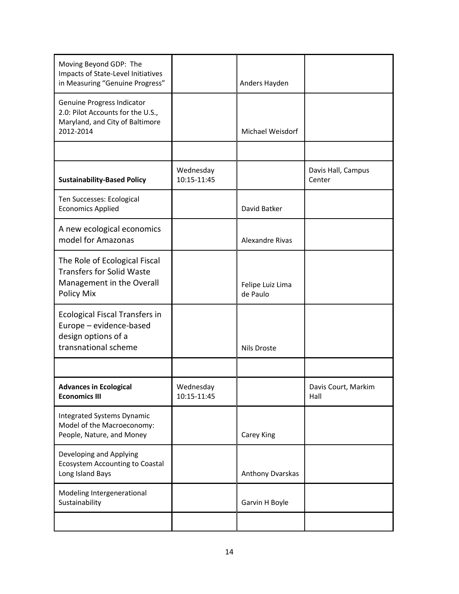| Moving Beyond GDP: The<br>Impacts of State-Level Initiatives<br>in Measuring "Genuine Progress"                 |                          | Anders Hayden                |                              |
|-----------------------------------------------------------------------------------------------------------------|--------------------------|------------------------------|------------------------------|
| Genuine Progress Indicator<br>2.0: Pilot Accounts for the U.S.,<br>Maryland, and City of Baltimore<br>2012-2014 |                          | Michael Weisdorf             |                              |
|                                                                                                                 |                          |                              |                              |
| <b>Sustainability-Based Policy</b>                                                                              | Wednesday<br>10:15-11:45 |                              | Davis Hall, Campus<br>Center |
| Ten Successes: Ecological<br><b>Economics Applied</b>                                                           |                          | David Batker                 |                              |
| A new ecological economics<br>model for Amazonas                                                                |                          | Alexandre Rivas              |                              |
| The Role of Ecological Fiscal<br><b>Transfers for Solid Waste</b><br>Management in the Overall<br>Policy Mix    |                          | Felipe Luiz Lima<br>de Paulo |                              |
| <b>Ecological Fiscal Transfers in</b><br>Europe - evidence-based<br>design options of a<br>transnational scheme |                          | <b>Nils Droste</b>           |                              |
|                                                                                                                 |                          |                              |                              |
| <b>Advances in Ecological</b><br><b>Economics III</b>                                                           | Wednesday<br>10:15-11:45 |                              | Davis Court, Markim<br>Hall  |
| <b>Integrated Systems Dynamic</b><br>Model of the Macroeconomy:<br>People, Nature, and Money                    |                          | Carey King                   |                              |
| Developing and Applying<br><b>Ecosystem Accounting to Coastal</b><br>Long Island Bays                           |                          | Anthony Dvarskas             |                              |
| Modeling Intergenerational<br>Sustainability                                                                    |                          | Garvin H Boyle               |                              |
|                                                                                                                 |                          |                              |                              |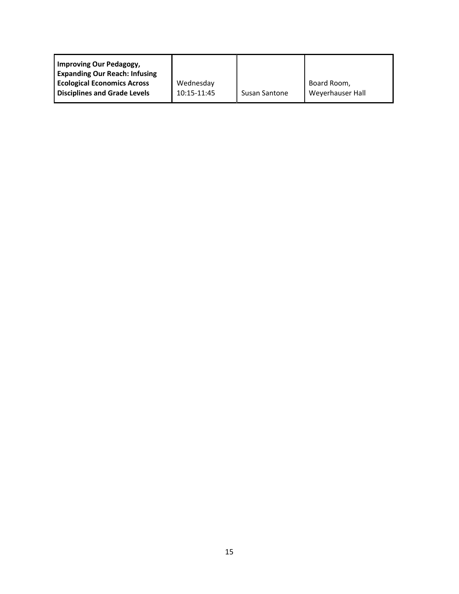| Wednesday   |                      | Board Room,      |
|-------------|----------------------|------------------|
| 10:15-11:45 | <b>Susan Santone</b> | Weyerhauser Hall |
|             |                      |                  |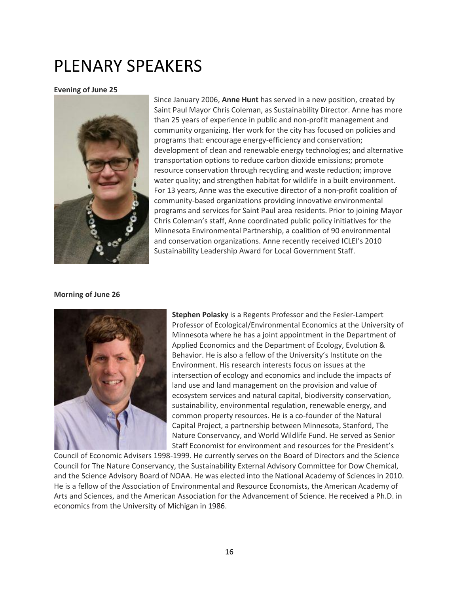## PLENARY SPEAKERS

#### **Evening of June 25**



Since January 2006, **Anne Hunt** has served in a new position, created by Saint Paul Mayor Chris Coleman, as Sustainability Director. Anne has more than 25 years of experience in public and non-profit management and community organizing. Her work for the city has focused on policies and programs that: encourage energy-efficiency and conservation; development of clean and renewable energy technologies; and alternative transportation options to reduce carbon dioxide emissions; promote resource conservation through recycling and waste reduction; improve water quality; and strengthen habitat for wildlife in a built environment. For 13 years, Anne was the executive director of a non-profit coalition of community-based organizations providing innovative environmental programs and services for Saint Paul area residents. Prior to joining Mayor Chris Coleman's staff, Anne coordinated public policy initiatives for the Minnesota Environmental Partnership, a coalition of 90 environmental and conservation organizations. Anne recently received ICLEI's 2010 Sustainability Leadership Award for Local Government Staff.

#### **Morning of June 26**



**Stephen Polasky** is a Regents Professor and the Fesler-Lampert Professor of Ecological/Environmental Economics at the University of Minnesota where he has a joint appointment in the Department of Applied Economics and the Department of Ecology, Evolution & Behavior. He is also a fellow of the University's Institute on the Environment. His research interests focus on issues at the intersection of ecology and economics and include the impacts of land use and land management on the provision and value of ecosystem services and natural capital, biodiversity conservation, sustainability, environmental regulation, renewable energy, and common property resources. He is a co-founder of the Natural Capital Project, a partnership between Minnesota, Stanford, The Nature Conservancy, and World Wildlife Fund. He served as Senior Staff Economist for environment and resources for the President's

Council of Economic Advisers 1998-1999. He currently serves on the Board of Directors and the Science Council for The Nature Conservancy, the Sustainability External Advisory Committee for Dow Chemical, and the Science Advisory Board of NOAA. He was elected into the National Academy of Sciences in 2010. He is a fellow of the Association of Environmental and Resource Economists, the American Academy of Arts and Sciences, and the American Association for the Advancement of Science. He received a Ph.D. in economics from the University of Michigan in 1986.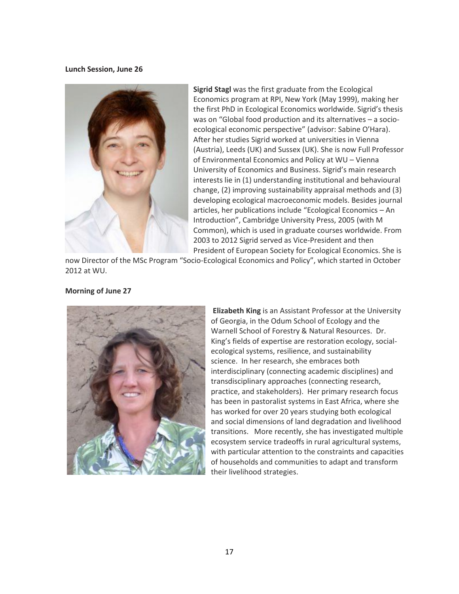**Lunch Session, June 26**



**Sigrid Stagl** was the first graduate from the Ecological Economics program at RPI, New York (May 1999), making her the first PhD in Ecological Economics worldwide. Sigrid's thesis was on "Global food production and its alternatives – a socioecological economic perspective" (advisor: Sabine O'Hara). After her studies Sigrid worked at universities in Vienna (Austria), Leeds (UK) and Sussex (UK). She is now Full Professor of Environmental Economics and Policy at WU – Vienna University of Economics and Business. Sigrid's main research interests lie in (1) understanding institutional and behavioural change, (2) improving sustainability appraisal methods and (3) developing ecological macroeconomic models. Besides journal articles, her publications include "Ecological Economics – An Introduction", Cambridge University Press, 2005 (with M Common), which is used in graduate courses worldwide. From 2003 to 2012 Sigrid served as Vice-President and then President of European Society for Ecological Economics. She is

now Director of the MSc Program "Socio-Ecological Economics and Policy", which started in October 2012 at WU.

#### **Morning of June 27**



**Elizabeth King** is an Assistant Professor at the University of Georgia, in the Odum School of Ecology and the Warnell School of Forestry & Natural Resources. Dr. King's fields of expertise are restoration ecology, socialecological systems, resilience, and sustainability science. In her research, she embraces both interdisciplinary (connecting academic disciplines) and transdisciplinary approaches (connecting research, practice, and stakeholders). Her primary research focus has been in pastoralist systems in East Africa, where she has worked for over 20 years studying both ecological and social dimensions of land degradation and livelihood transitions. More recently, she has investigated multiple ecosystem service tradeoffs in rural agricultural systems, with particular attention to the constraints and capacities of households and communities to adapt and transform their livelihood strategies.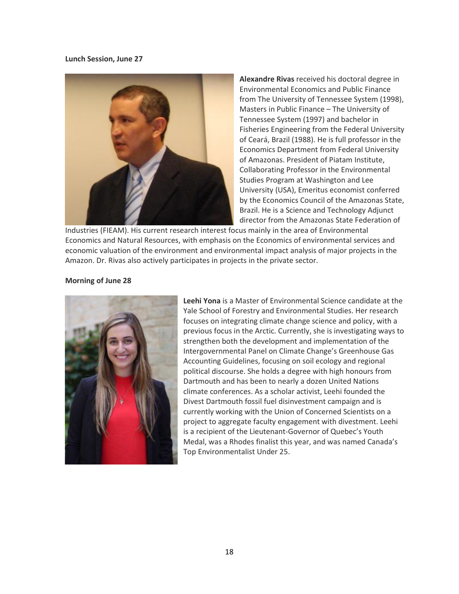**Lunch Session, June 27**



**Alexandre Rivas** received his doctoral degree in Environmental Economics and Public Finance from The University of Tennessee System (1998), Masters in Public Finance – The University of Tennessee System (1997) and bachelor in Fisheries Engineering from the Federal University of Ceará, Brazil (1988). He is full professor in the Economics Department from Federal University of Amazonas. President of Piatam Institute, Collaborating Professor in the Environmental Studies Program at Washington and Lee University (USA), Emeritus economist conferred by the Economics Council of the Amazonas State, Brazil. He is a Science and Technology Adjunct director from the Amazonas State Federation of

Industries (FIEAM). His current research interest focus mainly in the area of Environmental Economics and Natural Resources, with emphasis on the Economics of environmental services and economic valuation of the environment and environmental impact analysis of major projects in the Amazon. Dr. Rivas also actively participates in projects in the private sector.

#### **Morning of June 28**



**Leehi Yona** is a Master of Environmental Science candidate at the Yale School of Forestry and Environmental Studies. Her research focuses on integrating climate change science and policy, with a previous focus in the Arctic. Currently, she is investigating ways to strengthen both the development and implementation of the Intergovernmental Panel on Climate Change's Greenhouse Gas Accounting Guidelines, focusing on soil ecology and regional political discourse. She holds a degree with high honours from Dartmouth and has been to nearly a dozen United Nations climate conferences. As a scholar activist, Leehi founded the Divest Dartmouth fossil fuel disinvestment campaign and is currently working with the Union of Concerned Scientists on a project to aggregate faculty engagement with divestment. Leehi is a recipient of the Lieutenant-Governor of Quebec's Youth Medal, was a Rhodes finalist this year, and was named Canada's Top Environmentalist Under 25.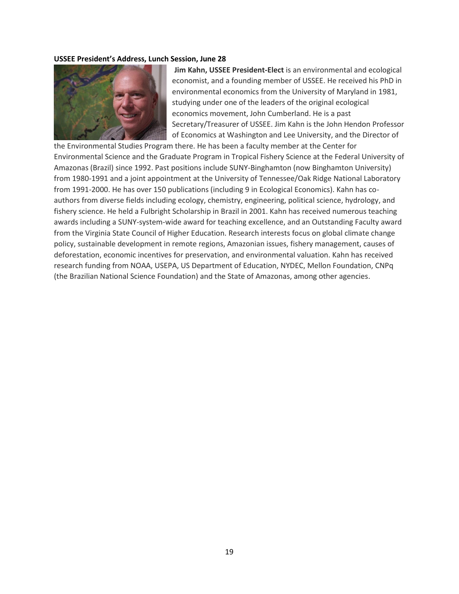#### **USSEE President's Address, Lunch Session, June 2[8](http://www.ussee.org/wp-content/uploads/2016/05/KahnJim75_092508_015.jpg)**



**Jim Kahn, USSEE President-Elect** is an environmental and ecological economist, and a founding member of USSEE. He received his PhD in environmental economics from the University of Maryland in 1981, studying under one of the leaders of the original ecological economics movement, John Cumberland. He is a past Secretary/Treasurer of USSEE. Jim Kahn is the John Hendon Professor of Economics at Washington and Lee University, and the Director of

the Environmental Studies Program there. He has been a faculty member at the Center for Environmental Science and the Graduate Program in Tropical Fishery Science at the Federal University of Amazonas (Brazil) since 1992. Past positions include SUNY-Binghamton (now Binghamton University) from 1980-1991 and a joint appointment at the University of Tennessee/Oak Ridge National Laboratory from 1991-2000. He has over 150 publications (including 9 in Ecological Economics). Kahn has coauthors from diverse fields including ecology, chemistry, engineering, political science, hydrology, and fishery science. He held a Fulbright Scholarship in Brazil in 2001. Kahn has received numerous teaching awards including a SUNY-system-wide award for teaching excellence, and an Outstanding Faculty award from the Virginia State Council of Higher Education. Research interests focus on global climate change policy, sustainable development in remote regions, Amazonian issues, fishery management, causes of deforestation, economic incentives for preservation, and environmental valuation. Kahn has received research funding from NOAA, USEPA, US Department of Education, NYDEC, Mellon Foundation, CNPq (the Brazilian National Science Foundation) and the State of Amazonas, among other agencies.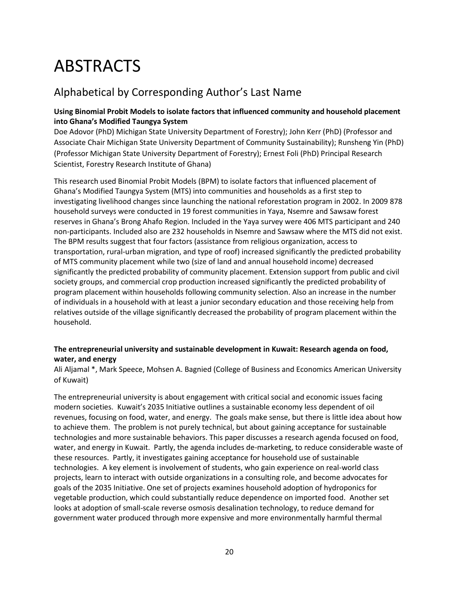## ABSTRACTS

### Alphabetical by Corresponding Author's Last Name

#### **Using Binomial Probit Models to isolate factors that influenced community and household placement into Ghana's Modified Taungya System**

Doe Adovor (PhD) Michigan State University Department of Forestry); John Kerr (PhD) (Professor and Associate Chair Michigan State University Department of Community Sustainability); Runsheng Yin (PhD) (Professor Michigan State University Department of Forestry); Ernest Foli (PhD) Principal Research Scientist, Forestry Research Institute of Ghana)

This research used Binomial Probit Models (BPM) to isolate factors that influenced placement of Ghana's Modified Taungya System (MTS) into communities and households as a first step to investigating livelihood changes since launching the national reforestation program in 2002. In 2009 878 household surveys were conducted in 19 forest communities in Yaya, Nsemre and Sawsaw forest reserves in Ghana's Brong Ahafo Region. Included in the Yaya survey were 406 MTS participant and 240 non-participants. Included also are 232 households in Nsemre and Sawsaw where the MTS did not exist. The BPM results suggest that four factors (assistance from religious organization, access to transportation, rural-urban migration, and type of roof) increased significantly the predicted probability of MTS community placement while two (size of land and annual household income) decreased significantly the predicted probability of community placement. Extension support from public and civil society groups, and commercial crop production increased significantly the predicted probability of program placement within households following community selection. Also an increase in the number of individuals in a household with at least a junior secondary education and those receiving help from relatives outside of the village significantly decreased the probability of program placement within the household.

#### **The entrepreneurial university and sustainable development in Kuwait: Research agenda on food, water, and energy**

Ali Aljamal \*, Mark Speece, Mohsen A. Bagnied (College of Business and Economics American University of Kuwait)

The entrepreneurial university is about engagement with critical social and economic issues facing modern societies. Kuwait's 2035 Initiative outlines a sustainable economy less dependent of oil revenues, focusing on food, water, and energy. The goals make sense, but there is little idea about how to achieve them. The problem is not purely technical, but about gaining acceptance for sustainable technologies and more sustainable behaviors. This paper discusses a research agenda focused on food, water, and energy in Kuwait. Partly, the agenda includes de-marketing, to reduce considerable waste of these resources. Partly, it investigates gaining acceptance for household use of sustainable technologies. A key element is involvement of students, who gain experience on real-world class projects, learn to interact with outside organizations in a consulting role, and become advocates for goals of the 2035 Initiative. One set of projects examines household adoption of hydroponics for vegetable production, which could substantially reduce dependence on imported food. Another set looks at adoption of small-scale reverse osmosis desalination technology, to reduce demand for government water produced through more expensive and more environmentally harmful thermal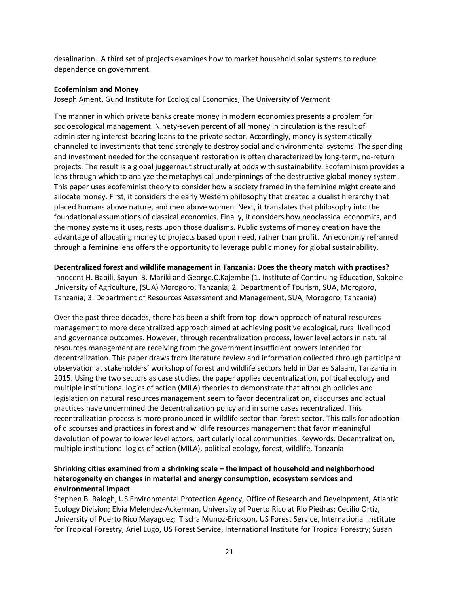desalination. A third set of projects examines how to market household solar systems to reduce dependence on government.

#### **Ecofeminism and Money**

Joseph Ament, Gund Institute for Ecological Economics, The University of Vermont

The manner in which private banks create money in modern economies presents a problem for socioecological management. Ninety-seven percent of all money in circulation is the result of administering interest-bearing loans to the private sector. Accordingly, money is systematically channeled to investments that tend strongly to destroy social and environmental systems. The spending and investment needed for the consequent restoration is often characterized by long-term, no-return projects. The result is a global juggernaut structurally at odds with sustainability. Ecofeminism provides a lens through which to analyze the metaphysical underpinnings of the destructive global money system. This paper uses ecofeminist theory to consider how a society framed in the feminine might create and allocate money. First, it considers the early Western philosophy that created a dualist hierarchy that placed humans above nature, and men above women. Next, it translates that philosophy into the foundational assumptions of classical economics. Finally, it considers how neoclassical economics, and the money systems it uses, rests upon those dualisms. Public systems of money creation have the advantage of allocating money to projects based upon need, rather than profit. An economy reframed through a feminine lens offers the opportunity to leverage public money for global sustainability.

#### **Decentralized forest and wildlife management in Tanzania: Does the theory match with practises?**

Innocent H. Babili, Sayuni B. Mariki and George.C.Kajembe (1. Institute of Continuing Education, Sokoine University of Agriculture, (SUA) Morogoro, Tanzania; 2. Department of Tourism, SUA, Morogoro, Tanzania; 3. Department of Resources Assessment and Management, SUA, Morogoro, Tanzania)

Over the past three decades, there has been a shift from top-down approach of natural resources management to more decentralized approach aimed at achieving positive ecological, rural livelihood and governance outcomes. However, through recentralization process, lower level actors in natural resources management are receiving from the government insufficient powers intended for decentralization. This paper draws from literature review and information collected through participant observation at stakeholders' workshop of forest and wildlife sectors held in Dar es Salaam, Tanzania in 2015. Using the two sectors as case studies, the paper applies decentralization, political ecology and multiple institutional logics of action (MILA) theories to demonstrate that although policies and legislation on natural resources management seem to favor decentralization, discourses and actual practices have undermined the decentralization policy and in some cases recentralized. This recentralization process is more pronounced in wildlife sector than forest sector. This calls for adoption of discourses and practices in forest and wildlife resources management that favor meaningful devolution of power to lower level actors, particularly local communities. Keywords: Decentralization, multiple institutional logics of action (MILA), political ecology, forest, wildlife, Tanzania

#### **Shrinking cities examined from a shrinking scale – the impact of household and neighborhood heterogeneity on changes in material and energy consumption, ecosystem services and environmental impact**

Stephen B. Balogh, US Environmental Protection Agency, Office of Research and Development, Atlantic Ecology Division; Elvia Melendez-Ackerman, University of Puerto Rico at Rio Piedras; Cecilio Ortiz, University of Puerto Rico Mayaguez; Tischa Munoz-Erickson, US Forest Service, International Institute for Tropical Forestry; Ariel Lugo, US Forest Service, International Institute for Tropical Forestry; Susan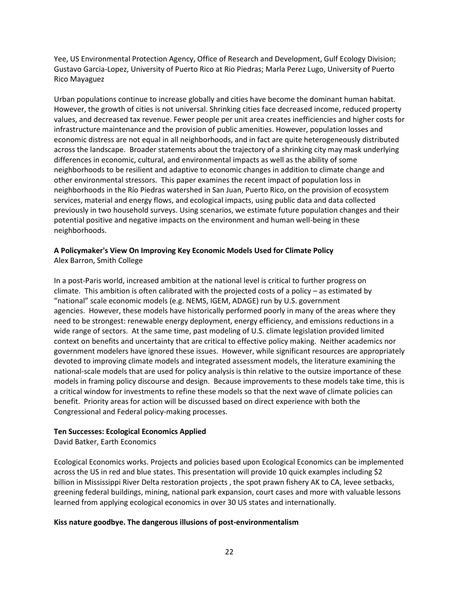Yee, US Environmental Protection Agency, Office of Research and Development, Gulf Ecology Division; Gustavo Garcia-Lopez, University of Puerto Rico at Rio Piedras; Marla Perez Lugo, University of Puerto Rico Mayaguez

Urban populations continue to increase globally and cities have become the dominant human habitat. However, the growth of cities is not universal. Shrinking cities face decreased income, reduced property values, and decreased tax revenue. Fewer people per unit area creates inefficiencies and higher costs for infrastructure maintenance and the provision of public amenities. However, population losses and economic distress are not equal in all neighborhoods, and in fact are quite heterogeneously distributed across the landscape. Broader statements about the trajectory of a shrinking city may mask underlying differences in economic, cultural, and environmental impacts as well as the ability of some neighborhoods to be resilient and adaptive to economic changes in addition to climate change and other environmental stressors. This paper examines the recent impact of population loss in neighborhoods in the Río Piedras watershed in San Juan, Puerto Rico, on the provision of ecosystem services, material and energy flows, and ecological impacts, using public data and data collected previously in two household surveys. Using scenarios, we estimate future population changes and their potential positive and negative impacts on the environment and human well-being in these neighborhoods.

#### **A Policymaker's View On Improving Key Economic Models Used for Climate Policy** Alex Barron, Smith College

In a post-Paris world, increased ambition at the national level is critical to further progress on climate. This ambition is often calibrated with the projected costs of a policy – as estimated by "national" scale economic models (e.g. NEMS, IGEM, ADAGE) run by U.S. government agencies. However, these models have historically performed poorly in many of the areas where they need to be strongest: renewable energy deployment, energy efficiency, and emissions reductions in a wide range of sectors. At the same time, past modeling of U.S. climate legislation provided limited context on benefits and uncertainty that are critical to effective policy making. Neither academics nor government modelers have ignored these issues. However, while significant resources are appropriately devoted to improving climate models and integrated assessment models, the literature examining the national-scale models that are used for policy analysis is thin relative to the outsize importance of these models in framing policy discourse and design. Because improvements to these models take time, this is a critical window for investments to refine these models so that the next wave of climate policies can benefit. Priority areas for action will be discussed based on direct experience with both the Congressional and Federal policy-making processes.

#### **Ten Successes: Ecological Economics Applied**

David Batker, Earth Economics

Ecological Economics works. Projects and policies based upon Ecological Economics can be implemented across the US in red and blue states. This presentation will provide 10 quick examples including \$2 billion in Mississippi River Delta restoration projects , the spot prawn fishery AK to CA, levee setbacks, greening federal buildings, mining, national park expansion, court cases and more with valuable lessons learned from applying ecological economics in over 30 US states and internationally.

#### **Kiss nature goodbye. The dangerous illusions of post-environmentalism**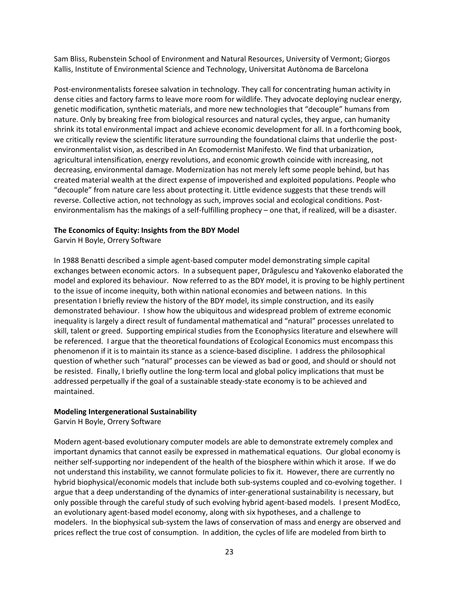Sam Bliss, Rubenstein School of Environment and Natural Resources, University of Vermont; Giorgos Kallis, Institute of Environmental Science and Technology, Universitat Autònoma de Barcelona

Post-environmentalists foresee salvation in technology. They call for concentrating human activity in dense cities and factory farms to leave more room for wildlife. They advocate deploying nuclear energy, genetic modification, synthetic materials, and more new technologies that "decouple" humans from nature. Only by breaking free from biological resources and natural cycles, they argue, can humanity shrink its total environmental impact and achieve economic development for all. In a forthcoming book, we critically review the scientific literature surrounding the foundational claims that underlie the postenvironmentalist vision, as described in An Ecomodernist Manifesto. We find that urbanization, agricultural intensification, energy revolutions, and economic growth coincide with increasing, not decreasing, environmental damage. Modernization has not merely left some people behind, but has created material wealth at the direct expense of impoverished and exploited populations. People who "decouple" from nature care less about protecting it. Little evidence suggests that these trends will reverse. Collective action, not technology as such, improves social and ecological conditions. Postenvironmentalism has the makings of a self-fulfilling prophecy – one that, if realized, will be a disaster.

#### **The Economics of Equity: Insights from the BDY Model**

Garvin H Boyle, Orrery Software

In 1988 Benatti described a simple agent-based computer model demonstrating simple capital exchanges between economic actors. In a subsequent paper, Drăgulescu and Yakovenko elaborated the model and explored its behaviour. Now referred to as the BDY model, it is proving to be highly pertinent to the issue of income inequity, both within national economies and between nations. In this presentation I briefly review the history of the BDY model, its simple construction, and its easily demonstrated behaviour. I show how the ubiquitous and widespread problem of extreme economic inequality is largely a direct result of fundamental mathematical and "natural" processes unrelated to skill, talent or greed. Supporting empirical studies from the Econophysics literature and elsewhere will be referenced. I argue that the theoretical foundations of Ecological Economics must encompass this phenomenon if it is to maintain its stance as a science-based discipline. I address the philosophical question of whether such "natural" processes can be viewed as bad or good, and should or should not be resisted. Finally, I briefly outline the long-term local and global policy implications that must be addressed perpetually if the goal of a sustainable steady-state economy is to be achieved and maintained.

#### **Modeling Intergenerational Sustainability**

Garvin H Boyle, Orrery Software

Modern agent-based evolutionary computer models are able to demonstrate extremely complex and important dynamics that cannot easily be expressed in mathematical equations. Our global economy is neither self-supporting nor independent of the health of the biosphere within which it arose. If we do not understand this instability, we cannot formulate policies to fix it. However, there are currently no hybrid biophysical/economic models that include both sub-systems coupled and co-evolving together. I argue that a deep understanding of the dynamics of inter-generational sustainability is necessary, but only possible through the careful study of such evolving hybrid agent-based models. I present ModEco, an evolutionary agent-based model economy, along with six hypotheses, and a challenge to modelers. In the biophysical sub-system the laws of conservation of mass and energy are observed and prices reflect the true cost of consumption. In addition, the cycles of life are modeled from birth to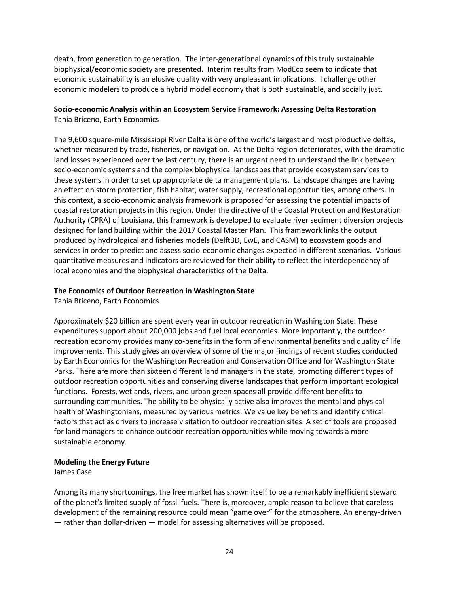death, from generation to generation. The inter-generational dynamics of this truly sustainable biophysical/economic society are presented. Interim results from ModEco seem to indicate that economic sustainability is an elusive quality with very unpleasant implications. I challenge other economic modelers to produce a hybrid model economy that is both sustainable, and socially just.

#### **Socio-economic Analysis within an Ecosystem Service Framework: Assessing Delta Restoration** Tania Briceno, Earth Economics

The 9,600 square-mile Mississippi River Delta is one of the world's largest and most productive deltas, whether measured by trade, fisheries, or navigation. As the Delta region deteriorates, with the dramatic land losses experienced over the last century, there is an urgent need to understand the link between socio-economic systems and the complex biophysical landscapes that provide ecosystem services to these systems in order to set up appropriate delta management plans. Landscape changes are having an effect on storm protection, fish habitat, water supply, recreational opportunities, among others. In this context, a socio-economic analysis framework is proposed for assessing the potential impacts of coastal restoration projects in this region. Under the directive of the Coastal Protection and Restoration Authority (CPRA) of Louisiana, this framework is developed to evaluate river sediment diversion projects designed for land building within the 2017 Coastal Master Plan. This framework links the output produced by hydrological and fisheries models (Delft3D, EwE, and CASM) to ecosystem goods and services in order to predict and assess socio-economic changes expected in different scenarios. Various quantitative measures and indicators are reviewed for their ability to reflect the interdependency of local economies and the biophysical characteristics of the Delta.

#### **The Economics of Outdoor Recreation in Washington State**

Tania Briceno, Earth Economics

Approximately \$20 billion are spent every year in outdoor recreation in Washington State. These expenditures support about 200,000 jobs and fuel local economies. More importantly, the outdoor recreation economy provides many co-benefits in the form of environmental benefits and quality of life improvements. This study gives an overview of some of the major findings of recent studies conducted by Earth Economics for the Washington Recreation and Conservation Office and for Washington State Parks. There are more than sixteen different land managers in the state, promoting different types of outdoor recreation opportunities and conserving diverse landscapes that perform important ecological functions. Forests, wetlands, rivers, and urban green spaces all provide different benefits to surrounding communities. The ability to be physically active also improves the mental and physical health of Washingtonians, measured by various metrics. We value key benefits and identify critical factors that act as drivers to increase visitation to outdoor recreation sites. A set of tools are proposed for land managers to enhance outdoor recreation opportunities while moving towards a more sustainable economy.

#### **Modeling the Energy Future**

James Case

Among its many shortcomings, the free market has shown itself to be a remarkably inefficient steward of the planet's limited supply of fossil fuels. There is, moreover, ample reason to believe that careless development of the remaining resource could mean "game over" for the atmosphere. An energy-driven ― rather than dollar-driven ― model for assessing alternatives will be proposed.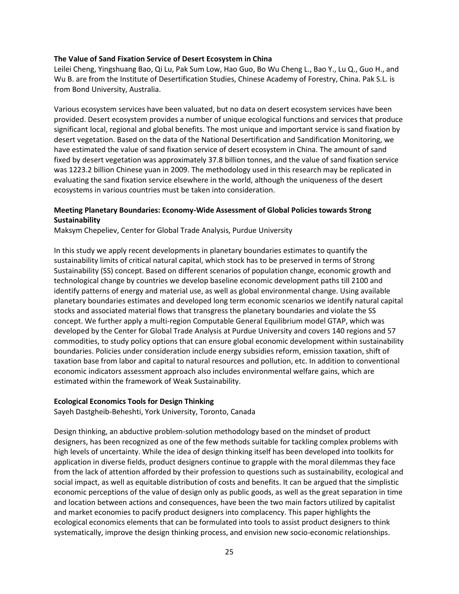#### **The Value of Sand Fixation Service of Desert Ecosystem in China**

Leilei Cheng, Yingshuang Bao, Qi Lu, Pak Sum Low, Hao Guo, Bo Wu Cheng L., Bao Y., Lu Q., Guo H., and Wu B. are from the Institute of Desertification Studies, Chinese Academy of Forestry, China. Pak S.L. is from Bond University, Australia.

Various ecosystem services have been valuated, but no data on desert ecosystem services have been provided. Desert ecosystem provides a number of unique ecological functions and services that produce significant local, regional and global benefits. The most unique and important service is sand fixation by desert vegetation. Based on the data of the National Desertification and Sandification Monitoring, we have estimated the value of sand fixation service of desert ecosystem in China. The amount of sand fixed by desert vegetation was approximately 37.8 billion tonnes, and the value of sand fixation service was 1223.2 billion Chinese yuan in 2009. The methodology used in this research may be replicated in evaluating the sand fixation service elsewhere in the world, although the uniqueness of the desert ecosystems in various countries must be taken into consideration.

#### **Meeting Planetary Boundaries: Economy-Wide Assessment of Global Policies towards Strong Sustainability**

Maksym Chepeliev, Center for Global Trade Analysis, Purdue University

In this study we apply recent developments in planetary boundaries estimates to quantify the sustainability limits of critical natural capital, which stock has to be preserved in terms of Strong Sustainability (SS) concept. Based on different scenarios of population change, economic growth and technological change by countries we develop baseline economic development paths till 2100 and identify patterns of energy and material use, as well as global environmental change. Using available planetary boundaries estimates and developed long term economic scenarios we identify natural capital stocks and associated material flows that transgress the planetary boundaries and violate the SS concept. We further apply a multi-region Computable General Equilibrium model GTAP, which was developed by the Center for Global Trade Analysis at Purdue University and covers 140 regions and 57 commodities, to study policy options that can ensure global economic development within sustainability boundaries. Policies under consideration include energy subsidies reform, emission taxation, shift of taxation base from labor and capital to natural resources and pollution, etc. In addition to conventional economic indicators assessment approach also includes environmental welfare gains, which are estimated within the framework of Weak Sustainability.

#### **Ecological Economics Tools for Design Thinking**

Sayeh Dastgheib-Beheshti, York University, Toronto, Canada

Design thinking, an abductive problem-solution methodology based on the mindset of product designers, has been recognized as one of the few methods suitable for tackling complex problems with high levels of uncertainty. While the idea of design thinking itself has been developed into toolkits for application in diverse fields, product designers continue to grapple with the moral dilemmas they face from the lack of attention afforded by their profession to questions such as sustainability, ecological and social impact, as well as equitable distribution of costs and benefits. It can be argued that the simplistic economic perceptions of the value of design only as public goods, as well as the great separation in time and location between actions and consequences, have been the two main factors utilized by capitalist and market economies to pacify product designers into complacency. This paper highlights the ecological economics elements that can be formulated into tools to assist product designers to think systematically, improve the design thinking process, and envision new socio-economic relationships.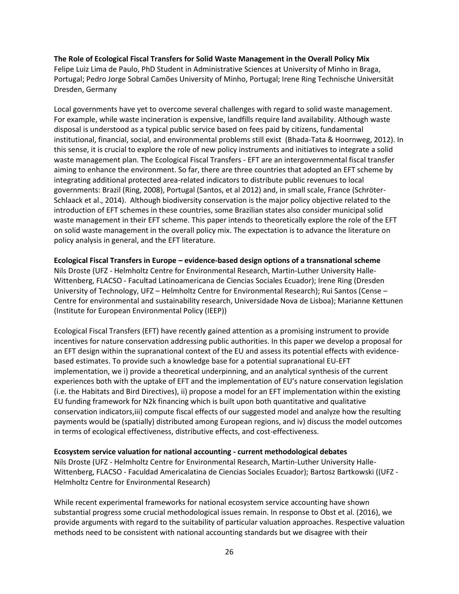#### **The Role of Ecological Fiscal Transfers for Solid Waste Management in the Overall Policy Mix**

Felipe Luiz Lima de Paulo, PhD Student in Administrative Sciences at University of Minho in Braga, Portugal; Pedro Jorge Sobral Camões University of Minho, Portugal; Irene Ring Technische Universität Dresden, Germany

Local governments have yet to overcome several challenges with regard to solid waste management. For example, while waste incineration is expensive, landfills require land availability. Although waste disposal is understood as a typical public service based on fees paid by citizens, fundamental institutional, financial, social, and environmental problems still exist (Bhada-Tata & Hoornweg, 2012). In this sense, it is crucial to explore the role of new policy instruments and initiatives to integrate a solid waste management plan. The Ecological Fiscal Transfers - EFT are an intergovernmental fiscal transfer aiming to enhance the environment. So far, there are three countries that adopted an EFT scheme by integrating additional protected area-related indicators to distribute public revenues to local governments: Brazil (Ring, 2008), Portugal (Santos, et al 2012) and, in small scale, France (Schröter-Schlaack et al., 2014). Although biodiversity conservation is the major policy objective related to the introduction of EFT schemes in these countries, some Brazilian states also consider municipal solid waste management in their EFT scheme. This paper intends to theoretically explore the role of the EFT on solid waste management in the overall policy mix. The expectation is to advance the literature on policy analysis in general, and the EFT literature.

#### **Ecological Fiscal Transfers in Europe – evidence-based design options of a transnational scheme**

Nils Droste (UFZ - Helmholtz Centre for Environmental Research, Martin-Luther University Halle-Wittenberg, FLACSO - Facultad Latinoamericana de Ciencias Sociales Ecuador); Irene Ring (Dresden University of Technology, UFZ – Helmholtz Centre for Environmental Research); Rui Santos (Cense – Centre for environmental and sustainability research, Universidade Nova de Lisboa); Marianne Kettunen (Institute for European Environmental Policy (IEEP))

Ecological Fiscal Transfers (EFT) have recently gained attention as a promising instrument to provide incentives for nature conservation addressing public authorities. In this paper we develop a proposal for an EFT design within the supranational context of the EU and assess its potential effects with evidencebased estimates. To provide such a knowledge base for a potential supranational EU-EFT implementation, we i) provide a theoretical underpinning, and an analytical synthesis of the current experiences both with the uptake of EFT and the implementation of EU's nature conservation legislation (i.e. the Habitats and Bird Directives), ii) propose a model for an EFT implementation within the existing EU funding framework for N2k financing which is built upon both quantitative and qualitative conservation indicators,iii) compute fiscal effects of our suggested model and analyze how the resulting payments would be (spatially) distributed among European regions, and iv) discuss the model outcomes in terms of ecological effectiveness, distributive effects, and cost-effectiveness.

#### **Ecosystem service valuation for national accounting - current methodological debates**

Nils Droste (UFZ - Helmholtz Centre for Environmental Research, Martin-Luther University Halle-Wittenberg, FLACSO - Faculdad Americalatina de Ciencias Sociales Ecuador); Bartosz Bartkowski ((UFZ - Helmholtz Centre for Environmental Research)

While recent experimental frameworks for national ecosystem service accounting have shown substantial progress some crucial methodological issues remain. In response to Obst et al. (2016), we provide arguments with regard to the suitability of particular valuation approaches. Respective valuation methods need to be consistent with national accounting standards but we disagree with their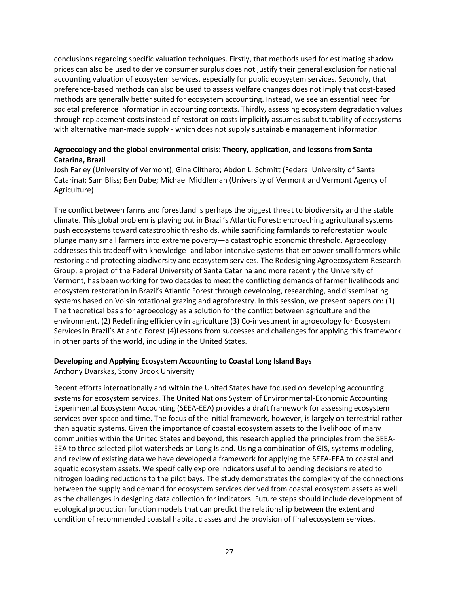conclusions regarding specific valuation techniques. Firstly, that methods used for estimating shadow prices can also be used to derive consumer surplus does not justify their general exclusion for national accounting valuation of ecosystem services, especially for public ecosystem services. Secondly, that preference-based methods can also be used to assess welfare changes does not imply that cost-based methods are generally better suited for ecosystem accounting. Instead, we see an essential need for societal preference information in accounting contexts. Thirdly, assessing ecosystem degradation values through replacement costs instead of restoration costs implicitly assumes substitutability of ecosystems with alternative man-made supply - which does not supply sustainable management information.

#### **Agroecology and the global environmental crisis: Theory, application, and lessons from Santa Catarina, Brazil**

Josh Farley (University of Vermont); Gina Clithero; Abdon L. Schmitt (Federal University of Santa Catarina); Sam Bliss; Ben Dube; Michael Middleman (University of Vermont and Vermont Agency of Agriculture)

The conflict between farms and forestland is perhaps the biggest threat to biodiversity and the stable climate. This global problem is playing out in Brazil's Atlantic Forest: encroaching agricultural systems push ecosystems toward catastrophic thresholds, while sacrificing farmlands to reforestation would plunge many small farmers into extreme poverty—a catastrophic economic threshold. Agroecology addresses this tradeoff with knowledge- and labor-intensive systems that empower small farmers while restoring and protecting biodiversity and ecosystem services. The Redesigning Agroecosystem Research Group, a project of the Federal University of Santa Catarina and more recently the University of Vermont, has been working for two decades to meet the conflicting demands of farmer livelihoods and ecosystem restoration in Brazil's Atlantic Forest through developing, researching, and disseminating systems based on Voisin rotational grazing and agroforestry. In this session, we present papers on: (1) The theoretical basis for agroecology as a solution for the conflict between agriculture and the environment. (2) Redefining efficiency in agriculture (3) Co-investment in agroecology for Ecosystem Services in Brazil's Atlantic Forest (4)Lessons from successes and challenges for applying this framework in other parts of the world, including in the United States.

#### **Developing and Applying Ecosystem Accounting to Coastal Long Island Bays**

Anthony Dvarskas, Stony Brook University

Recent efforts internationally and within the United States have focused on developing accounting systems for ecosystem services. The United Nations System of Environmental-Economic Accounting Experimental Ecosystem Accounting (SEEA-EEA) provides a draft framework for assessing ecosystem services over space and time. The focus of the initial framework, however, is largely on terrestrial rather than aquatic systems. Given the importance of coastal ecosystem assets to the livelihood of many communities within the United States and beyond, this research applied the principles from the SEEA-EEA to three selected pilot watersheds on Long Island. Using a combination of GIS, systems modeling, and review of existing data we have developed a framework for applying the SEEA-EEA to coastal and aquatic ecosystem assets. We specifically explore indicators useful to pending decisions related to nitrogen loading reductions to the pilot bays. The study demonstrates the complexity of the connections between the supply and demand for ecosystem services derived from coastal ecosystem assets as well as the challenges in designing data collection for indicators. Future steps should include development of ecological production function models that can predict the relationship between the extent and condition of recommended coastal habitat classes and the provision of final ecosystem services.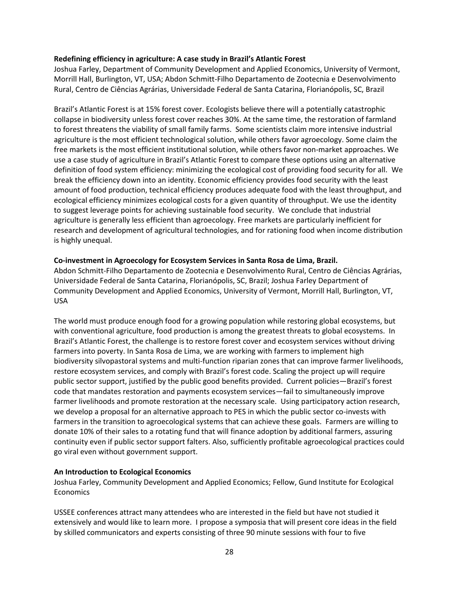#### **Redefining efficiency in agriculture: A case study in Brazil's Atlantic Forest**

Joshua Farley, Department of Community Development and Applied Economics, University of Vermont, Morrill Hall, Burlington, VT, USA; Abdon Schmitt-Filho Departamento de Zootecnia e Desenvolvimento Rural, Centro de Ciências Agrárias, Universidade Federal de Santa Catarina, Florianópolis, SC, Brazil

Brazil's Atlantic Forest is at 15% forest cover. Ecologists believe there will a potentially catastrophic collapse in biodiversity unless forest cover reaches 30%. At the same time, the restoration of farmland to forest threatens the viability of small family farms. Some scientists claim more intensive industrial agriculture is the most efficient technological solution, while others favor agroecology. Some claim the free markets is the most efficient institutional solution, while others favor non-market approaches. We use a case study of agriculture in Brazil's Atlantic Forest to compare these options using an alternative definition of food system efficiency: minimizing the ecological cost of providing food security for all. We break the efficiency down into an identity. Economic efficiency provides food security with the least amount of food production, technical efficiency produces adequate food with the least throughput, and ecological efficiency minimizes ecological costs for a given quantity of throughput. We use the identity to suggest leverage points for achieving sustainable food security. We conclude that industrial agriculture is generally less efficient than agroecology. Free markets are particularly inefficient for research and development of agricultural technologies, and for rationing food when income distribution is highly unequal.

#### **Co-investment in Agroecology for Ecosystem Services in Santa Rosa de Lima, Brazil.**

Abdon Schmitt-Filho Departamento de Zootecnia e Desenvolvimento Rural, Centro de Ciências Agrárias, Universidade Federal de Santa Catarina, Florianópolis, SC, Brazil; Joshua Farley Department of Community Development and Applied Economics, University of Vermont, Morrill Hall, Burlington, VT, USA

The world must produce enough food for a growing population while restoring global ecosystems, but with conventional agriculture, food production is among the greatest threats to global ecosystems. In Brazil's Atlantic Forest, the challenge is to restore forest cover and ecosystem services without driving farmers into poverty. In Santa Rosa de Lima, we are working with farmers to implement high biodiversity silvopastoral systems and multi-function riparian zones that can improve farmer livelihoods, restore ecosystem services, and comply with Brazil's forest code. Scaling the project up will require public sector support, justified by the public good benefits provided. Current policies—Brazil's forest code that mandates restoration and payments ecosystem services—fail to simultaneously improve farmer livelihoods and promote restoration at the necessary scale. Using participatory action research, we develop a proposal for an alternative approach to PES in which the public sector co-invests with farmers in the transition to agroecological systems that can achieve these goals. Farmers are willing to donate 10% of their sales to a rotating fund that will finance adoption by additional farmers, assuring continuity even if public sector support falters. Also, sufficiently profitable agroecological practices could go viral even without government support.

#### **An Introduction to Ecological Economics**

Joshua Farley, Community Development and Applied Economics; Fellow, Gund Institute for Ecological **Economics** 

USSEE conferences attract many attendees who are interested in the field but have not studied it extensively and would like to learn more. I propose a symposia that will present core ideas in the field by skilled communicators and experts consisting of three 90 minute sessions with four to five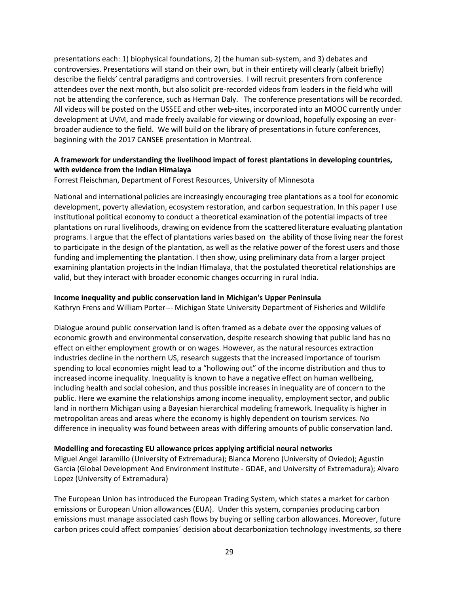presentations each: 1) biophysical foundations, 2) the human sub-system, and 3) debates and controversies. Presentations will stand on their own, but in their entirety will clearly (albeit briefly) describe the fields' central paradigms and controversies. I will recruit presenters from conference attendees over the next month, but also solicit pre-recorded videos from leaders in the field who will not be attending the conference, such as Herman Daly. The conference presentations will be recorded. All videos will be posted on the USSEE and other web-sites, incorporated into an MOOC currently under development at UVM, and made freely available for viewing or download, hopefully exposing an everbroader audience to the field. We will build on the library of presentations in future conferences, beginning with the 2017 CANSEE presentation in Montreal.

#### **A framework for understanding the livelihood impact of forest plantations in developing countries, with evidence from the Indian Himalaya**

Forrest Fleischman, Department of Forest Resources, University of Minnesota

National and international policies are increasingly encouraging tree plantations as a tool for economic development, poverty alleviation, ecosystem restoration, and carbon sequestration. In this paper I use institutional political economy to conduct a theoretical examination of the potential impacts of tree plantations on rural livelihoods, drawing on evidence from the scattered literature evaluating plantation programs. I argue that the effect of plantations varies based on the ability of those living near the forest to participate in the design of the plantation, as well as the relative power of the forest users and those funding and implementing the plantation. I then show, using preliminary data from a larger project examining plantation projects in the Indian Himalaya, that the postulated theoretical relationships are valid, but they interact with broader economic changes occurring in rural India.

#### **Income inequality and public conservation land in Michigan's Upper Peninsula**

Kathryn Frens and William Porter--- Michigan State University Department of Fisheries and Wildlife

Dialogue around public conservation land is often framed as a debate over the opposing values of economic growth and environmental conservation, despite research showing that public land has no effect on either employment growth or on wages. However, as the natural resources extraction industries decline in the northern US, research suggests that the increased importance of tourism spending to local economies might lead to a "hollowing out" of the income distribution and thus to increased income inequality. Inequality is known to have a negative effect on human wellbeing, including health and social cohesion, and thus possible increases in inequality are of concern to the public. Here we examine the relationships among income inequality, employment sector, and public land in northern Michigan using a Bayesian hierarchical modeling framework. Inequality is higher in metropolitan areas and areas where the economy is highly dependent on tourism services. No difference in inequality was found between areas with differing amounts of public conservation land.

#### **Modelling and forecasting EU allowance prices applying artificial neural networks**

Miguel Angel Jaramillo (University of Extremadura); Blanca Moreno (University of Oviedo); Agustin Garcia (Global Development And Environment Institute - GDAE, and University of Extremadura); Alvaro Lopez (University of Extremadura)

The European Union has introduced the European Trading System, which states a market for carbon emissions or European Union allowances (EUA). Under this system, companies producing carbon emissions must manage associated cash flows by buying or selling carbon allowances. Moreover, future carbon prices could affect companies´ decision about decarbonization technology investments, so there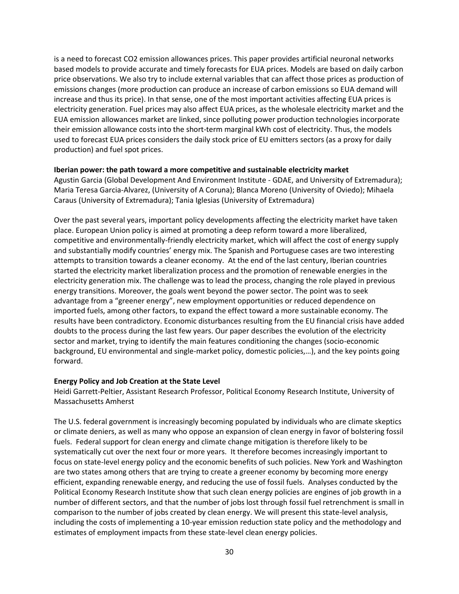is a need to forecast CO2 emission allowances prices. This paper provides artificial neuronal networks based models to provide accurate and timely forecasts for EUA prices. Models are based on daily carbon price observations. We also try to include external variables that can affect those prices as production of emissions changes (more production can produce an increase of carbon emissions so EUA demand will increase and thus its price). In that sense, one of the most important activities affecting EUA prices is electricity generation. Fuel prices may also affect EUA prices, as the wholesale electricity market and the EUA emission allowances market are linked, since polluting power production technologies incorporate their emission allowance costs into the short-term marginal kWh cost of electricity. Thus, the models used to forecast EUA prices considers the daily stock price of EU emitters sectors (as a proxy for daily production) and fuel spot prices.

#### **Iberian power: the path toward a more competitive and sustainable electricity market**

Agustin Garcia (Global Development And Environment Institute - GDAE, and University of Extremadura); Maria Teresa Garcia-Alvarez, (University of A Coruna); Blanca Moreno (University of Oviedo); Mihaela Caraus (University of Extremadura); Tania Iglesias (University of Extremadura)

Over the past several years, important policy developments affecting the electricity market have taken place. European Union policy is aimed at promoting a deep reform toward a more liberalized, competitive and environmentally-friendly electricity market, which will affect the cost of energy supply and substantially modify countries' energy mix. The Spanish and Portuguese cases are two interesting attempts to transition towards a cleaner economy. At the end of the last century, Iberian countries started the electricity market liberalization process and the promotion of renewable energies in the electricity generation mix. The challenge was to lead the process, changing the role played in previous energy transitions. Moreover, the goals went beyond the power sector. The point was to seek advantage from a "greener energy", new employment opportunities or reduced dependence on imported fuels, among other factors, to expand the effect toward a more sustainable economy. The results have been contradictory. Economic disturbances resulting from the EU financial crisis have added doubts to the process during the last few years. Our paper describes the evolution of the electricity sector and market, trying to identify the main features conditioning the changes (socio-economic background, EU environmental and single-market policy, domestic policies,…), and the key points going forward.

#### **Energy Policy and Job Creation at the State Level**

Heidi Garrett-Peltier, Assistant Research Professor, Political Economy Research Institute, University of Massachusetts Amherst

The U.S. federal government is increasingly becoming populated by individuals who are climate skeptics or climate deniers, as well as many who oppose an expansion of clean energy in favor of bolstering fossil fuels. Federal support for clean energy and climate change mitigation is therefore likely to be systematically cut over the next four or more years. It therefore becomes increasingly important to focus on state-level energy policy and the economic benefits of such policies. New York and Washington are two states among others that are trying to create a greener economy by becoming more energy efficient, expanding renewable energy, and reducing the use of fossil fuels. Analyses conducted by the Political Economy Research Institute show that such clean energy policies are engines of job growth in a number of different sectors, and that the number of jobs lost through fossil fuel retrenchment is small in comparison to the number of jobs created by clean energy. We will present this state-level analysis, including the costs of implementing a 10-year emission reduction state policy and the methodology and estimates of employment impacts from these state-level clean energy policies.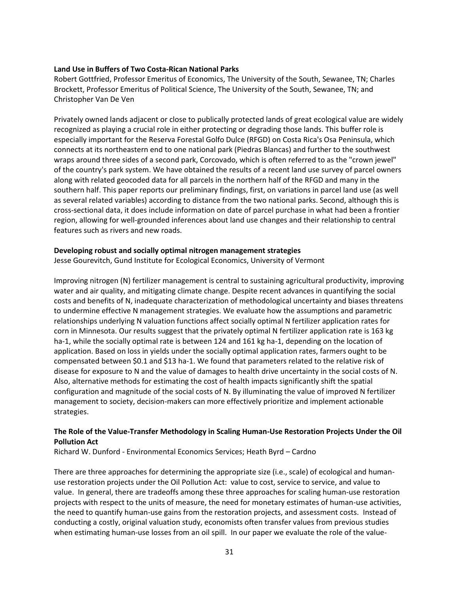#### **Land Use in Buffers of Two Costa-Rican National Parks**

Robert Gottfried, Professor Emeritus of Economics, The University of the South, Sewanee, TN; Charles Brockett, Professor Emeritus of Political Science, The University of the South, Sewanee, TN; and Christopher Van De Ven

Privately owned lands adjacent or close to publically protected lands of great ecological value are widely recognized as playing a crucial role in either protecting or degrading those lands. This buffer role is especially important for the Reserva Forestal Golfo Dulce (RFGD) on Costa Rica's Osa Peninsula, which connects at its northeastern end to one national park (Piedras Blancas) and further to the southwest wraps around three sides of a second park, Corcovado, which is often referred to as the "crown jewel" of the country's park system. We have obtained the results of a recent land use survey of parcel owners along with related geocoded data for all parcels in the northern half of the RFGD and many in the southern half. This paper reports our preliminary findings, first, on variations in parcel land use (as well as several related variables) according to distance from the two national parks. Second, although this is cross-sectional data, it does include information on date of parcel purchase in what had been a frontier region, allowing for well-grounded inferences about land use changes and their relationship to central features such as rivers and new roads.

#### **Developing robust and socially optimal nitrogen management strategies**

Jesse Gourevitch, Gund Institute for Ecological Economics, University of Vermont

Improving nitrogen (N) fertilizer management is central to sustaining agricultural productivity, improving water and air quality, and mitigating climate change. Despite recent advances in quantifying the social costs and benefits of N, inadequate characterization of methodological uncertainty and biases threatens to undermine effective N management strategies. We evaluate how the assumptions and parametric relationships underlying N valuation functions affect socially optimal N fertilizer application rates for corn in Minnesota. Our results suggest that the privately optimal N fertilizer application rate is 163 kg ha-1, while the socially optimal rate is between 124 and 161 kg ha-1, depending on the location of application. Based on loss in yields under the socially optimal application rates, farmers ought to be compensated between \$0.1 and \$13 ha-1. We found that parameters related to the relative risk of disease for exposure to N and the value of damages to health drive uncertainty in the social costs of N. Also, alternative methods for estimating the cost of health impacts significantly shift the spatial configuration and magnitude of the social costs of N. By illuminating the value of improved N fertilizer management to society, decision-makers can more effectively prioritize and implement actionable strategies.

#### **The Role of the Value-Transfer Methodology in Scaling Human-Use Restoration Projects Under the Oil Pollution Act**

Richard W. Dunford - Environmental Economics Services; Heath Byrd – Cardno

There are three approaches for determining the appropriate size (i.e., scale) of ecological and humanuse restoration projects under the Oil Pollution Act: value to cost, service to service, and value to value. In general, there are tradeoffs among these three approaches for scaling human-use restoration projects with respect to the units of measure, the need for monetary estimates of human-use activities, the need to quantify human-use gains from the restoration projects, and assessment costs. Instead of conducting a costly, original valuation study, economists often transfer values from previous studies when estimating human-use losses from an oil spill. In our paper we evaluate the role of the value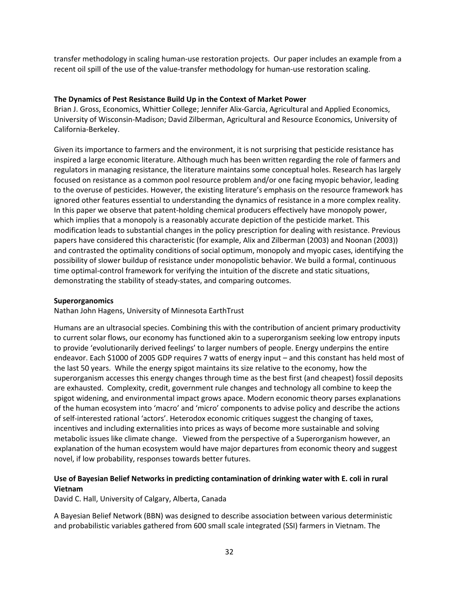transfer methodology in scaling human-use restoration projects. Our paper includes an example from a recent oil spill of the use of the value-transfer methodology for human-use restoration scaling.

#### **The Dynamics of Pest Resistance Build Up in the Context of Market Power**

Brian J. Gross, Economics, Whittier College; Jennifer Alix-Garcia, Agricultural and Applied Economics, University of Wisconsin-Madison; David Zilberman, Agricultural and Resource Economics, University of California-Berkeley.

Given its importance to farmers and the environment, it is not surprising that pesticide resistance has inspired a large economic literature. Although much has been written regarding the role of farmers and regulators in managing resistance, the literature maintains some conceptual holes. Research has largely focused on resistance as a common pool resource problem and/or one facing myopic behavior, leading to the overuse of pesticides. However, the existing literature's emphasis on the resource framework has ignored other features essential to understanding the dynamics of resistance in a more complex reality. In this paper we observe that patent-holding chemical producers effectively have monopoly power, which implies that a monopoly is a reasonably accurate depiction of the pesticide market. This modification leads to substantial changes in the policy prescription for dealing with resistance. Previous papers have considered this characteristic (for example, Alix and Zilberman (2003) and Noonan (2003)) and contrasted the optimality conditions of social optimum, monopoly and myopic cases, identifying the possibility of slower buildup of resistance under monopolistic behavior. We build a formal, continuous time optimal-control framework for verifying the intuition of the discrete and static situations, demonstrating the stability of steady-states, and comparing outcomes.

#### **Superorganomics**

Nathan John Hagens, University of Minnesota EarthTrust

Humans are an ultrasocial species. Combining this with the contribution of ancient primary productivity to current solar flows, our economy has functioned akin to a superorganism seeking low entropy inputs to provide 'evolutionarily derived feelings' to larger numbers of people. Energy underpins the entire endeavor. Each \$1000 of 2005 GDP requires 7 watts of energy input – and this constant has held most of the last 50 years. While the energy spigot maintains its size relative to the economy, how the superorganism accesses this energy changes through time as the best first (and cheapest) fossil deposits are exhausted. Complexity, credit, government rule changes and technology all combine to keep the spigot widening, and environmental impact grows apace. Modern economic theory parses explanations of the human ecosystem into 'macro' and 'micro' components to advise policy and describe the actions of self-interested rational 'actors'. Heterodox economic critiques suggest the changing of taxes, incentives and including externalities into prices as ways of become more sustainable and solving metabolic issues like climate change. Viewed from the perspective of a Superorganism however, an explanation of the human ecosystem would have major departures from economic theory and suggest novel, if low probability, responses towards better futures.

#### **Use of Bayesian Belief Networks in predicting contamination of drinking water with E. coli in rural Vietnam**

David C. Hall, University of Calgary, Alberta, Canada

A Bayesian Belief Network (BBN) was designed to describe association between various deterministic and probabilistic variables gathered from 600 small scale integrated (SSI) farmers in Vietnam. The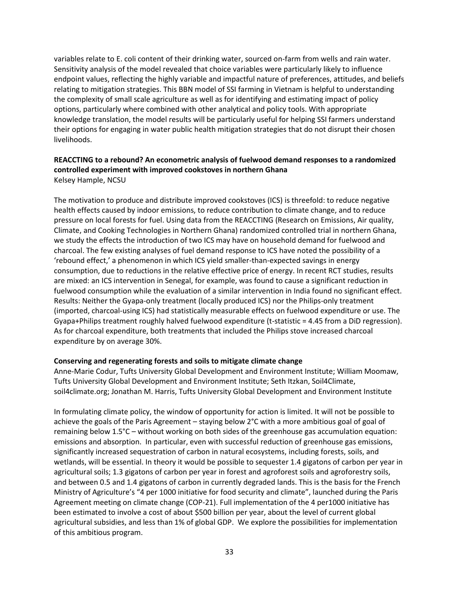variables relate to E. coli content of their drinking water, sourced on-farm from wells and rain water. Sensitivity analysis of the model revealed that choice variables were particularly likely to influence endpoint values, reflecting the highly variable and impactful nature of preferences, attitudes, and beliefs relating to mitigation strategies. This BBN model of SSI farming in Vietnam is helpful to understanding the complexity of small scale agriculture as well as for identifying and estimating impact of policy options, particularly where combined with other analytical and policy tools. With appropriate knowledge translation, the model results will be particularly useful for helping SSI farmers understand their options for engaging in water public health mitigation strategies that do not disrupt their chosen livelihoods.

#### **REACCTING to a rebound? An econometric analysis of fuelwood demand responses to a randomized controlled experiment with improved cookstoves in northern Ghana** Kelsey Hample, NCSU

The motivation to produce and distribute improved cookstoves (ICS) is threefold: to reduce negative health effects caused by indoor emissions, to reduce contribution to climate change, and to reduce pressure on local forests for fuel. Using data from the REACCTING (Research on Emissions, Air quality, Climate, and Cooking Technologies in Northern Ghana) randomized controlled trial in northern Ghana, we study the effects the introduction of two ICS may have on household demand for fuelwood and charcoal. The few existing analyses of fuel demand response to ICS have noted the possibility of a 'rebound effect,' a phenomenon in which ICS yield smaller-than-expected savings in energy consumption, due to reductions in the relative effective price of energy. In recent RCT studies, results are mixed: an ICS intervention in Senegal, for example, was found to cause a significant reduction in fuelwood consumption while the evaluation of a similar intervention in India found no significant effect. Results: Neither the Gyapa-only treatment (locally produced ICS) nor the Philips-only treatment (imported, charcoal-using ICS) had statistically measurable effects on fuelwood expenditure or use. The Gyapa+Philips treatment roughly halved fuelwood expenditure (t-statistic = 4.45 from a DiD regression). As for charcoal expenditure, both treatments that included the Philips stove increased charcoal expenditure by on average 30%.

#### **Conserving and regenerating forests and soils to mitigate climate change**

Anne-Marie Codur, Tufts University Global Development and Environment Institute; William Moomaw, Tufts University Global Development and Environment Institute; Seth Itzkan, Soil4Climate, soil4climate.org; Jonathan M. Harris, Tufts University Global Development and Environment Institute

In formulating climate policy, the window of opportunity for action is limited. It will not be possible to achieve the goals of the Paris Agreement – staying below 2°C with a more ambitious goal of goal of remaining below 1.5°C – without working on both sides of the greenhouse gas accumulation equation: emissions and absorption. In particular, even with successful reduction of greenhouse gas emissions, significantly increased sequestration of carbon in natural ecosystems, including forests, soils, and wetlands, will be essential. In theory it would be possible to sequester 1.4 gigatons of carbon per year in agricultural soils; 1.3 gigatons of carbon per year in forest and agroforest soils and agroforestry soils, and between 0.5 and 1.4 gigatons of carbon in currently degraded lands. This is the basis for the French Ministry of Agriculture's "4 per 1000 initiative for food security and climate", launched during the Paris Agreement meeting on climate change (COP-21). Full implementation of the 4 per1000 initiative has been estimated to involve a cost of about \$500 billion per year, about the level of current global agricultural subsidies, and less than 1% of global GDP. We explore the possibilities for implementation of this ambitious program.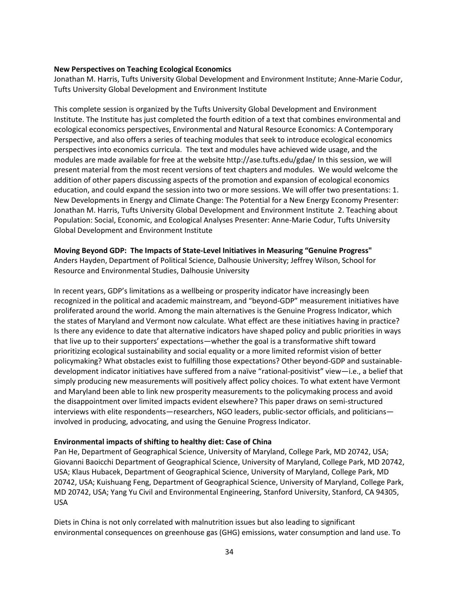#### **New Perspectives on Teaching Ecological Economics**

Jonathan M. Harris, Tufts University Global Development and Environment Institute; Anne-Marie Codur, Tufts University Global Development and Environment Institute

This complete session is organized by the Tufts University Global Development and Environment Institute. The Institute has just completed the fourth edition of a text that combines environmental and ecological economics perspectives, Environmental and Natural Resource Economics: A Contemporary Perspective, and also offers a series of teaching modules that seek to introduce ecological economics perspectives into economics curricula. The text and modules have achieved wide usage, and the modules are made available for free at the website http://ase.tufts.edu/gdae/ In this session, we will present material from the most recent versions of text chapters and modules. We would welcome the addition of other papers discussing aspects of the promotion and expansion of ecological economics education, and could expand the session into two or more sessions. We will offer two presentations: 1. New Developments in Energy and Climate Change: The Potential for a New Energy Economy Presenter: Jonathan M. Harris, Tufts University Global Development and Environment Institute 2. Teaching about Population: Social, Economic, and Ecological Analyses Presenter: Anne-Marie Codur, Tufts University Global Development and Environment Institute

#### **Moving Beyond GDP: The Impacts of State-Level Initiatives in Measuring "Genuine Progress"**

Anders Hayden, Department of Political Science, Dalhousie University; Jeffrey Wilson, School for Resource and Environmental Studies, Dalhousie University

In recent years, GDP's limitations as a wellbeing or prosperity indicator have increasingly been recognized in the political and academic mainstream, and "beyond-GDP" measurement initiatives have proliferated around the world. Among the main alternatives is the Genuine Progress Indicator, which the states of Maryland and Vermont now calculate. What effect are these initiatives having in practice? Is there any evidence to date that alternative indicators have shaped policy and public priorities in ways that live up to their supporters' expectations—whether the goal is a transformative shift toward prioritizing ecological sustainability and social equality or a more limited reformist vision of better policymaking? What obstacles exist to fulfilling those expectations? Other beyond-GDP and sustainabledevelopment indicator initiatives have suffered from a naïve "rational-positivist" view—i.e., a belief that simply producing new measurements will positively affect policy choices. To what extent have Vermont and Maryland been able to link new prosperity measurements to the policymaking process and avoid the disappointment over limited impacts evident elsewhere? This paper draws on semi-structured interviews with elite respondents—researchers, NGO leaders, public-sector officials, and politicians involved in producing, advocating, and using the Genuine Progress Indicator.

#### **Environmental impacts of shifting to healthy diet: Case of China**

Pan He, Department of Geographical Science, University of Maryland, College Park, MD 20742, USA; Giovanni Baoicchi Department of Geographical Science, University of Maryland, College Park, MD 20742, USA; Klaus Hubacek, Department of Geographical Science, University of Maryland, College Park, MD 20742, USA; Kuishuang Feng, Department of Geographical Science, University of Maryland, College Park, MD 20742, USA; Yang Yu Civil and Environmental Engineering, Stanford University, Stanford, CA 94305, USA

Diets in China is not only correlated with malnutrition issues but also leading to significant environmental consequences on greenhouse gas (GHG) emissions, water consumption and land use. To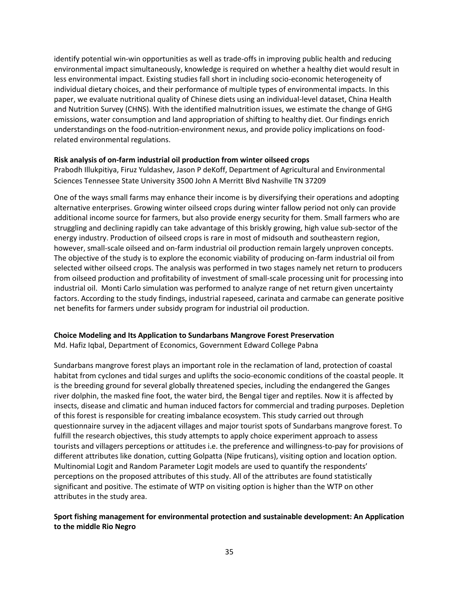identify potential win-win opportunities as well as trade-offs in improving public health and reducing environmental impact simultaneously, knowledge is required on whether a healthy diet would result in less environmental impact. Existing studies fall short in including socio-economic heterogeneity of individual dietary choices, and their performance of multiple types of environmental impacts. In this paper, we evaluate nutritional quality of Chinese diets using an individual-level dataset, China Health and Nutrition Survey (CHNS). With the identified malnutrition issues, we estimate the change of GHG emissions, water consumption and land appropriation of shifting to healthy diet. Our findings enrich understandings on the food-nutrition-environment nexus, and provide policy implications on foodrelated environmental regulations.

#### **Risk analysis of on-farm industrial oil production from winter oilseed crops**

Prabodh Illukpitiya, Firuz Yuldashev, Jason P deKoff, Department of Agricultural and Environmental Sciences Tennessee State University 3500 John A Merritt Blvd Nashville TN 37209

One of the ways small farms may enhance their income is by diversifying their operations and adopting alternative enterprises. Growing winter oilseed crops during winter fallow period not only can provide additional income source for farmers, but also provide energy security for them. Small farmers who are struggling and declining rapidly can take advantage of this briskly growing, high value sub-sector of the energy industry. Production of oilseed crops is rare in most of midsouth and southeastern region, however, small-scale oilseed and on-farm industrial oil production remain largely unproven concepts. The objective of the study is to explore the economic viability of producing on-farm industrial oil from selected wither oilseed crops. The analysis was performed in two stages namely net return to producers from oilseed production and profitability of investment of small-scale processing unit for processing into industrial oil. Monti Carlo simulation was performed to analyze range of net return given uncertainty factors. According to the study findings, industrial rapeseed, carinata and carmabe can generate positive net benefits for farmers under subsidy program for industrial oil production.

### **Choice Modeling and Its Application to Sundarbans Mangrove Forest Preservation**

Md. Hafiz Iqbal, Department of Economics, Government Edward College Pabna

Sundarbans mangrove forest plays an important role in the reclamation of land, protection of coastal habitat from cyclones and tidal surges and uplifts the socio-economic conditions of the coastal people. It is the breeding ground for several globally threatened species, including the endangered the Ganges river dolphin, the masked fine foot, the water bird, the Bengal tiger and reptiles. Now it is affected by insects, disease and climatic and human induced factors for commercial and trading purposes. Depletion of this forest is responsible for creating imbalance ecosystem. This study carried out through questionnaire survey in the adjacent villages and major tourist spots of Sundarbans mangrove forest. To fulfill the research objectives, this study attempts to apply choice experiment approach to assess tourists and villagers perceptions or attitudes i.e. the preference and willingness-to-pay for provisions of different attributes like donation, cutting Golpatta (Nipe fruticans), visiting option and location option. Multinomial Logit and Random Parameter Logit models are used to quantify the respondents' perceptions on the proposed attributes of this study. All of the attributes are found statistically significant and positive. The estimate of WTP on visiting option is higher than the WTP on other attributes in the study area.

#### **Sport fishing management for environmental protection and sustainable development: An Application to the middle Rio Negro**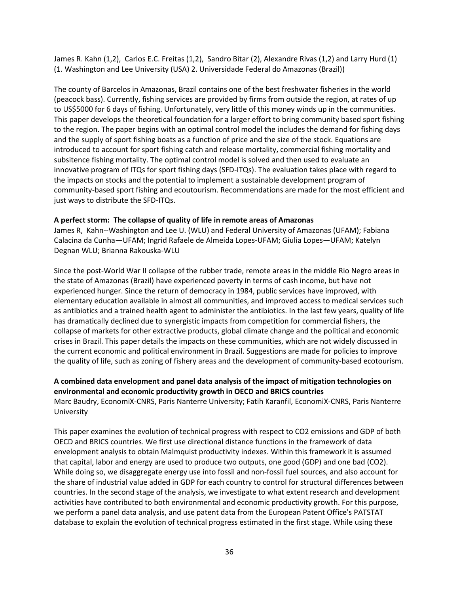James R. Kahn (1,2), Carlos E.C. Freitas (1,2), Sandro Bitar (2), Alexandre Rivas (1,2) and Larry Hurd (1) (1. Washington and Lee University (USA) 2. Universidade Federal do Amazonas (Brazil))

The county of Barcelos in Amazonas, Brazil contains one of the best freshwater fisheries in the world (peacock bass). Currently, fishing services are provided by firms from outside the region, at rates of up to US\$5000 for 6 days of fishing. Unfortunately, very little of this money winds up in the communities. This paper develops the theoretical foundation for a larger effort to bring community based sport fishing to the region. The paper begins with an optimal control model the includes the demand for fishing days and the supply of sport fishing boats as a function of price and the size of the stock. Equations are introduced to account for sport fishing catch and release mortality, commercial fishing mortality and subsitence fishing mortality. The optimal control model is solved and then used to evaluate an innovative program of ITQs for sport fishing days (SFD-ITQs). The evaluation takes place with regard to the impacts on stocks and the potential to implement a sustainable development program of community-based sport fishing and ecoutourism. Recommendations are made for the most efficient and just ways to distribute the SFD-ITQs.

#### **A perfect storm: The collapse of quality of life in remote areas of Amazonas**

James R, Kahn--Washington and Lee U. (WLU) and Federal University of Amazonas (UFAM); Fabiana Calacina da Cunha—UFAM; Ingrid Rafaele de Almeida Lopes-UFAM; Giulia Lopes—UFAM; Katelyn Degnan WLU; Brianna Rakouska-WLU

Since the post-World War II collapse of the rubber trade, remote areas in the middle Rio Negro areas in the state of Amazonas (Brazil) have experienced poverty in terms of cash income, but have not experienced hunger. Since the return of democracy in 1984, public services have improved, with elementary education available in almost all communities, and improved access to medical services such as antibiotics and a trained health agent to administer the antibiotics. In the last few years, quality of life has dramatically declined due to synergistic impacts from competition for commercial fishers, the collapse of markets for other extractive products, global climate change and the political and economic crises in Brazil. This paper details the impacts on these communities, which are not widely discussed in the current economic and political environment in Brazil. Suggestions are made for policies to improve the quality of life, such as zoning of fishery areas and the development of community-based ecotourism.

#### **A combined data envelopment and panel data analysis of the impact of mitigation technologies on environmental and economic productivity growth in OECD and BRICS countries**

Marc Baudry, EconomiX-CNRS, Paris Nanterre University; Fatih Karanfil, EconomiX-CNRS, Paris Nanterre University

This paper examines the evolution of technical progress with respect to CO2 emissions and GDP of both OECD and BRICS countries. We first use directional distance functions in the framework of data envelopment analysis to obtain Malmquist productivity indexes. Within this framework it is assumed that capital, labor and energy are used to produce two outputs, one good (GDP) and one bad (CO2). While doing so, we disaggregate energy use into fossil and non-fossil fuel sources, and also account for the share of industrial value added in GDP for each country to control for structural differences between countries. In the second stage of the analysis, we investigate to what extent research and development activities have contributed to both environmental and economic productivity growth. For this purpose, we perform a panel data analysis, and use patent data from the European Patent Office's PATSTAT database to explain the evolution of technical progress estimated in the first stage. While using these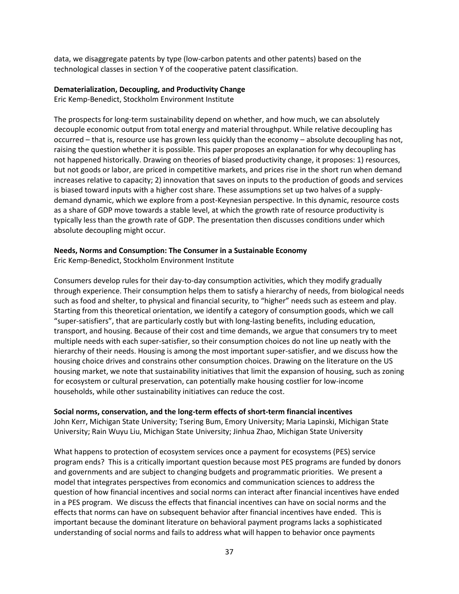data, we disaggregate patents by type (low-carbon patents and other patents) based on the technological classes in section Y of the cooperative patent classification.

#### **Dematerialization, Decoupling, and Productivity Change**

Eric Kemp-Benedict, Stockholm Environment Institute

The prospects for long-term sustainability depend on whether, and how much, we can absolutely decouple economic output from total energy and material throughput. While relative decoupling has occurred – that is, resource use has grown less quickly than the economy – absolute decoupling has not, raising the question whether it is possible. This paper proposes an explanation for why decoupling has not happened historically. Drawing on theories of biased productivity change, it proposes: 1) resources, but not goods or labor, are priced in competitive markets, and prices rise in the short run when demand increases relative to capacity; 2) innovation that saves on inputs to the production of goods and services is biased toward inputs with a higher cost share. These assumptions set up two halves of a supplydemand dynamic, which we explore from a post-Keynesian perspective. In this dynamic, resource costs as a share of GDP move towards a stable level, at which the growth rate of resource productivity is typically less than the growth rate of GDP. The presentation then discusses conditions under which absolute decoupling might occur.

#### **Needs, Norms and Consumption: The Consumer in a Sustainable Economy**

Eric Kemp-Benedict, Stockholm Environment Institute

Consumers develop rules for their day-to-day consumption activities, which they modify gradually through experience. Their consumption helps them to satisfy a hierarchy of needs, from biological needs such as food and shelter, to physical and financial security, to "higher" needs such as esteem and play. Starting from this theoretical orientation, we identify a category of consumption goods, which we call "super-satisfiers", that are particularly costly but with long-lasting benefits, including education, transport, and housing. Because of their cost and time demands, we argue that consumers try to meet multiple needs with each super-satisfier, so their consumption choices do not line up neatly with the hierarchy of their needs. Housing is among the most important super-satisfier, and we discuss how the housing choice drives and constrains other consumption choices. Drawing on the literature on the US housing market, we note that sustainability initiatives that limit the expansion of housing, such as zoning for ecosystem or cultural preservation, can potentially make housing costlier for low-income households, while other sustainability initiatives can reduce the cost.

#### **Social norms, conservation, and the long-term effects of short-term financial incentives**

John Kerr, Michigan State University; Tsering Bum, Emory University; Maria Lapinski, Michigan State University; Rain Wuyu Liu, Michigan State University; Jinhua Zhao, Michigan State University

What happens to protection of ecosystem services once a payment for ecosystems (PES) service program ends? This is a critically important question because most PES programs are funded by donors and governments and are subject to changing budgets and programmatic priorities. We present a model that integrates perspectives from economics and communication sciences to address the question of how financial incentives and social norms can interact after financial incentives have ended in a PES program. We discuss the effects that financial incentives can have on social norms and the effects that norms can have on subsequent behavior after financial incentives have ended. This is important because the dominant literature on behavioral payment programs lacks a sophisticated understanding of social norms and fails to address what will happen to behavior once payments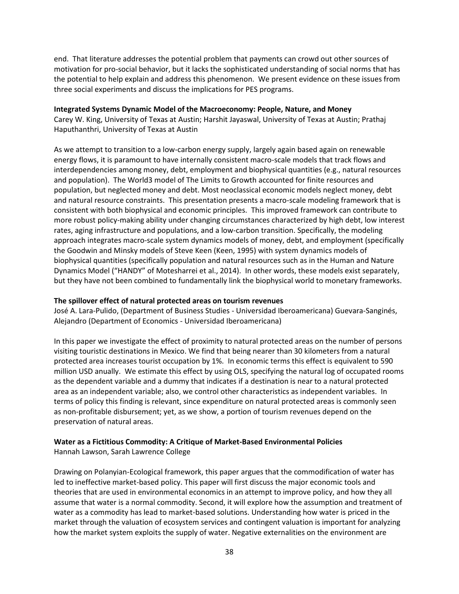end. That literature addresses the potential problem that payments can crowd out other sources of motivation for pro-social behavior, but it lacks the sophisticated understanding of social norms that has the potential to help explain and address this phenomenon. We present evidence on these issues from three social experiments and discuss the implications for PES programs.

#### **Integrated Systems Dynamic Model of the Macroeconomy: People, Nature, and Money**

Carey W. King, University of Texas at Austin; Harshit Jayaswal, University of Texas at Austin; Prathaj Haputhanthri, University of Texas at Austin

As we attempt to transition to a low-carbon energy supply, largely again based again on renewable energy flows, it is paramount to have internally consistent macro-scale models that track flows and interdependencies among money, debt, employment and biophysical quantities (e.g., natural resources and population). The World3 model of The Limits to Growth accounted for finite resources and population, but neglected money and debt. Most neoclassical economic models neglect money, debt and natural resource constraints. This presentation presents a macro-scale modeling framework that is consistent with both biophysical and economic principles. This improved framework can contribute to more robust policy-making ability under changing circumstances characterized by high debt, low interest rates, aging infrastructure and populations, and a low-carbon transition. Specifically, the modeling approach integrates macro-scale system dynamics models of money, debt, and employment (specifically the Goodwin and Minsky models of Steve Keen (Keen, 1995) with system dynamics models of biophysical quantities (specifically population and natural resources such as in the Human and Nature Dynamics Model ("HANDY" of Motesharrei et al., 2014). In other words, these models exist separately, but they have not been combined to fundamentally link the biophysical world to monetary frameworks.

#### **The spillover effect of natural protected areas on tourism revenues**

José A. Lara-Pulido, (Department of Business Studies - Universidad Iberoamericana) Guevara-Sanginés, Alejandro (Department of Economics - Universidad Iberoamericana)

In this paper we investigate the effect of proximity to natural protected areas on the number of persons visiting touristic destinations in Mexico. We find that being nearer than 30 kilometers from a natural protected area increases tourist occupation by 1%. In economic terms this effect is equivalent to 590 million USD anually. We estimate this effect by using OLS, specifying the natural log of occupated rooms as the dependent variable and a dummy that indicates if a destination is near to a natural protected area as an independent variable; also, we control other characteristics as independent variables. In terms of policy this finding is relevant, since expenditure on natural protected areas is commonly seen as non-profitable disbursement; yet, as we show, a portion of tourism revenues depend on the preservation of natural areas.

#### **Water as a Fictitious Commodity: A Critique of Market-Based Environmental Policies**

Hannah Lawson, Sarah Lawrence College

Drawing on Polanyian-Ecological framework, this paper argues that the commodification of water has led to ineffective market-based policy. This paper will first discuss the major economic tools and theories that are used in environmental economics in an attempt to improve policy, and how they all assume that water is a normal commodity. Second, it will explore how the assumption and treatment of water as a commodity has lead to market-based solutions. Understanding how water is priced in the market through the valuation of ecosystem services and contingent valuation is important for analyzing how the market system exploits the supply of water. Negative externalities on the environment are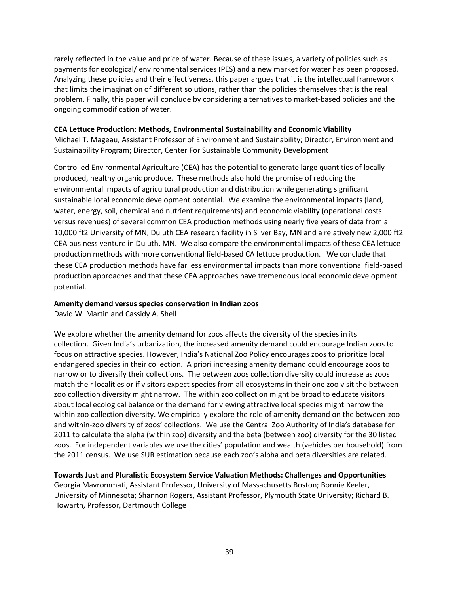rarely reflected in the value and price of water. Because of these issues, a variety of policies such as payments for ecological/ environmental services (PES) and a new market for water has been proposed. Analyzing these policies and their effectiveness, this paper argues that it is the intellectual framework that limits the imagination of different solutions, rather than the policies themselves that is the real problem. Finally, this paper will conclude by considering alternatives to market-based policies and the ongoing commodification of water.

#### **CEA Lettuce Production: Methods, Environmental Sustainability and Economic Viability**

Michael T. Mageau, Assistant Professor of Environment and Sustainability; Director, Environment and Sustainability Program; Director, Center For Sustainable Community Development

Controlled Environmental Agriculture (CEA) has the potential to generate large quantities of locally produced, healthy organic produce. These methods also hold the promise of reducing the environmental impacts of agricultural production and distribution while generating significant sustainable local economic development potential. We examine the environmental impacts (land, water, energy, soil, chemical and nutrient requirements) and economic viability (operational costs versus revenues) of several common CEA production methods using nearly five years of data from a 10,000 ft2 University of MN, Duluth CEA research facility in Silver Bay, MN and a relatively new 2,000 ft2 CEA business venture in Duluth, MN. We also compare the environmental impacts of these CEA lettuce production methods with more conventional field-based CA lettuce production. We conclude that these CEA production methods have far less environmental impacts than more conventional field-based production approaches and that these CEA approaches have tremendous local economic development potential.

#### **Amenity demand versus species conservation in Indian zoos**

David W. Martin and Cassidy A. Shell

We explore whether the amenity demand for zoos affects the diversity of the species in its collection. Given India's urbanization, the increased amenity demand could encourage Indian zoos to focus on attractive species. However, India's National Zoo Policy encourages zoos to prioritize local endangered species in their collection. A priori increasing amenity demand could encourage zoos to narrow or to diversify their collections. The between zoos collection diversity could increase as zoos match their localities or if visitors expect species from all ecosystems in their one zoo visit the between zoo collection diversity might narrow. The within zoo collection might be broad to educate visitors about local ecological balance or the demand for viewing attractive local species might narrow the within zoo collection diversity. We empirically explore the role of amenity demand on the between-zoo and within-zoo diversity of zoos' collections. We use the Central Zoo Authority of India's database for 2011 to calculate the alpha (within zoo) diversity and the beta (between zoo) diversity for the 30 listed zoos. For independent variables we use the cities' population and wealth (vehicles per household) from the 2011 census. We use SUR estimation because each zoo's alpha and beta diversities are related.

**Towards Just and Pluralistic Ecosystem Service Valuation Methods: Challenges and Opportunities** Georgia Mavrommati, Assistant Professor, University of Massachusetts Boston; Bonnie Keeler, University of Minnesota; Shannon Rogers, Assistant Professor, Plymouth State University; Richard B. Howarth, Professor, Dartmouth College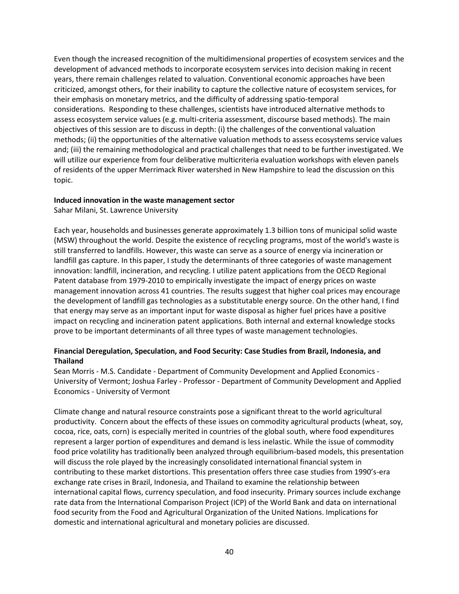Even though the increased recognition of the multidimensional properties of ecosystem services and the development of advanced methods to incorporate ecosystem services into decision making in recent years, there remain challenges related to valuation. Conventional economic approaches have been criticized, amongst others, for their inability to capture the collective nature of ecosystem services, for their emphasis on monetary metrics, and the difficulty of addressing spatio-temporal considerations. Responding to these challenges, scientists have introduced alternative methods to assess ecosystem service values (e.g. multi-criteria assessment, discourse based methods). The main objectives of this session are to discuss in depth: (i) the challenges of the conventional valuation methods; (ii) the opportunities of the alternative valuation methods to assess ecosystems service values and; (iii) the remaining methodological and practical challenges that need to be further investigated. We will utilize our experience from four deliberative multicriteria evaluation workshops with eleven panels of residents of the upper Merrimack River watershed in New Hampshire to lead the discussion on this topic.

#### **Induced innovation in the waste management sector**

Sahar Milani, St. Lawrence University

Each year, households and businesses generate approximately 1.3 billion tons of municipal solid waste (MSW) throughout the world. Despite the existence of recycling programs, most of the world's waste is still transferred to landfills. However, this waste can serve as a source of energy via incineration or landfill gas capture. In this paper, I study the determinants of three categories of waste management innovation: landfill, incineration, and recycling. I utilize patent applications from the OECD Regional Patent database from 1979-2010 to empirically investigate the impact of energy prices on waste management innovation across 41 countries. The results suggest that higher coal prices may encourage the development of landfill gas technologies as a substitutable energy source. On the other hand, I find that energy may serve as an important input for waste disposal as higher fuel prices have a positive impact on recycling and incineration patent applications. Both internal and external knowledge stocks prove to be important determinants of all three types of waste management technologies.

#### **Financial Deregulation, Speculation, and Food Security: Case Studies from Brazil, Indonesia, and Thailand**

Sean Morris - M.S. Candidate - Department of Community Development and Applied Economics - University of Vermont; Joshua Farley - Professor - Department of Community Development and Applied Economics - University of Vermont

Climate change and natural resource constraints pose a significant threat to the world agricultural productivity. Concern about the effects of these issues on commodity agricultural products (wheat, soy, cocoa, rice, oats, corn) is especially merited in countries of the global south, where food expenditures represent a larger portion of expenditures and demand is less inelastic. While the issue of commodity food price volatility has traditionally been analyzed through equilibrium-based models, this presentation will discuss the role played by the increasingly consolidated international financial system in contributing to these market distortions. This presentation offers three case studies from 1990's-era exchange rate crises in Brazil, Indonesia, and Thailand to examine the relationship between international capital flows, currency speculation, and food insecurity. Primary sources include exchange rate data from the International Comparison Project (ICP) of the World Bank and data on international food security from the Food and Agricultural Organization of the United Nations. Implications for domestic and international agricultural and monetary policies are discussed.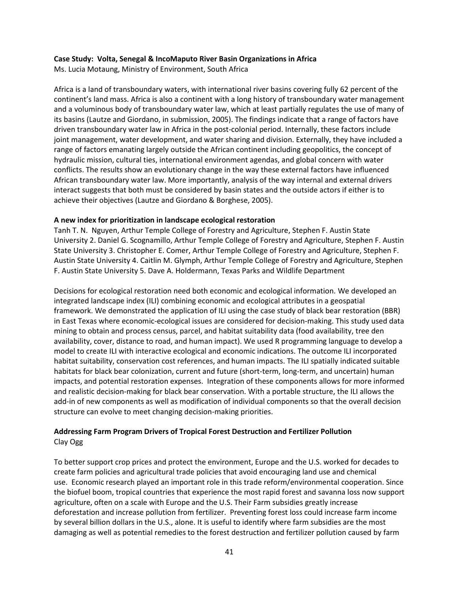#### **Case Study: Volta, Senegal & IncoMaputo River Basin Organizations in Africa**

Ms. Lucia Motaung, Ministry of Environment, South Africa

Africa is a land of transboundary waters, with international river basins covering fully 62 percent of the continent's land mass. Africa is also a continent with a long history of transboundary water management and a voluminous body of transboundary water law, which at least partially regulates the use of many of its basins (Lautze and Giordano, in submission, 2005). The findings indicate that a range of factors have driven transboundary water law in Africa in the post-colonial period. Internally, these factors include joint management, water development, and water sharing and division. Externally, they have included a range of factors emanating largely outside the African continent including geopolitics, the concept of hydraulic mission, cultural ties, international environment agendas, and global concern with water conflicts. The results show an evolutionary change in the way these external factors have influenced African transboundary water law. More importantly, analysis of the way internal and external drivers interact suggests that both must be considered by basin states and the outside actors if either is to achieve their objectives (Lautze and Giordano & Borghese, 2005).

#### **A new index for prioritization in landscape ecological restoration**

Tanh T. N. Nguyen, Arthur Temple College of Forestry and Agriculture, Stephen F. Austin State University 2. Daniel G. Scognamillo, Arthur Temple College of Forestry and Agriculture, Stephen F. Austin State University 3. Christopher E. Comer, Arthur Temple College of Forestry and Agriculture, Stephen F. Austin State University 4. Caitlin M. Glymph, Arthur Temple College of Forestry and Agriculture, Stephen F. Austin State University 5. Dave A. Holdermann, Texas Parks and Wildlife Department

Decisions for ecological restoration need both economic and ecological information. We developed an integrated landscape index (ILI) combining economic and ecological attributes in a geospatial framework. We demonstrated the application of ILI using the case study of black bear restoration (BBR) in East Texas where economic-ecological issues are considered for decision-making. This study used data mining to obtain and process census, parcel, and habitat suitability data (food availability, tree den availability, cover, distance to road, and human impact). We used R programming language to develop a model to create ILI with interactive ecological and economic indications. The outcome ILI incorporated habitat suitability, conservation cost references, and human impacts. The ILI spatially indicated suitable habitats for black bear colonization, current and future (short-term, long-term, and uncertain) human impacts, and potential restoration expenses. Integration of these components allows for more informed and realistic decision-making for black bear conservation. With a portable structure, the ILI allows the add-in of new components as well as modification of individual components so that the overall decision structure can evolve to meet changing decision-making priorities.

#### **Addressing Farm Program Drivers of Tropical Forest Destruction and Fertilizer Pollution** Clay Ogg

To better support crop prices and protect the environment, Europe and the U.S. worked for decades to create farm policies and agricultural trade policies that avoid encouraging land use and chemical use. Economic research played an important role in this trade reform/environmental cooperation. Since the biofuel boom, tropical countries that experience the most rapid forest and savanna loss now support agriculture, often on a scale with Europe and the U.S. Their Farm subsidies greatly increase deforestation and increase pollution from fertilizer. Preventing forest loss could increase farm income by several billion dollars in the U.S., alone. It is useful to identify where farm subsidies are the most damaging as well as potential remedies to the forest destruction and fertilizer pollution caused by farm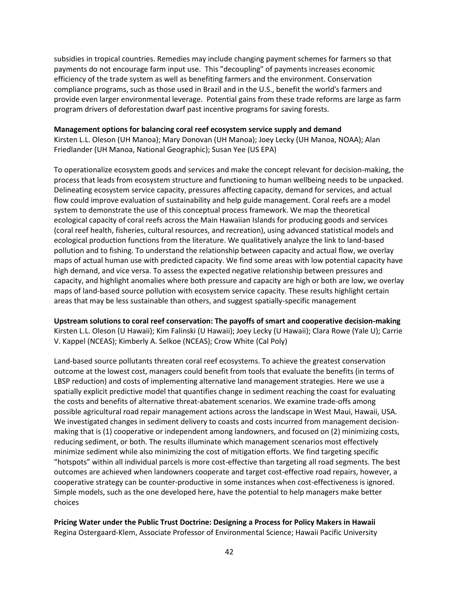subsidies in tropical countries. Remedies may include changing payment schemes for farmers so that payments do not encourage farm input use. This "decoupling" of payments increases economic efficiency of the trade system as well as benefiting farmers and the environment. Conservation compliance programs, such as those used in Brazil and in the U.S., benefit the world's farmers and provide even larger environmental leverage. Potential gains from these trade reforms are large as farm program drivers of deforestation dwarf past incentive programs for saving forests.

#### **Management options for balancing coral reef ecosystem service supply and demand**

Kirsten L.L. Oleson (UH Manoa); Mary Donovan (UH Manoa); Joey Lecky (UH Manoa, NOAA); Alan Friedlander (UH Manoa, National Geographic); Susan Yee (US EPA)

To operationalize ecosystem goods and services and make the concept relevant for decision-making, the process that leads from ecosystem structure and functioning to human wellbeing needs to be unpacked. Delineating ecosystem service capacity, pressures affecting capacity, demand for services, and actual flow could improve evaluation of sustainability and help guide management. Coral reefs are a model system to demonstrate the use of this conceptual process framework. We map the theoretical ecological capacity of coral reefs across the Main Hawaiian Islands for producing goods and services (coral reef health, fisheries, cultural resources, and recreation), using advanced statistical models and ecological production functions from the literature. We qualitatively analyze the link to land-based pollution and to fishing. To understand the relationship between capacity and actual flow, we overlay maps of actual human use with predicted capacity. We find some areas with low potential capacity have high demand, and vice versa. To assess the expected negative relationship between pressures and capacity, and highlight anomalies where both pressure and capacity are high or both are low, we overlay maps of land-based source pollution with ecosystem service capacity. These results highlight certain areas that may be less sustainable than others, and suggest spatially-specific management

**Upstream solutions to coral reef conservation: The payoffs of smart and cooperative decision-making** Kirsten L.L. Oleson (U Hawaii); Kim Falinski (U Hawaii); Joey Lecky (U Hawaii); Clara Rowe (Yale U); Carrie V. Kappel (NCEAS); Kimberly A. Selkoe (NCEAS); Crow White (Cal Poly)

Land-based source pollutants threaten coral reef ecosystems. To achieve the greatest conservation outcome at the lowest cost, managers could benefit from tools that evaluate the benefits (in terms of LBSP reduction) and costs of implementing alternative land management strategies. Here we use a spatially explicit predictive model that quantifies change in sediment reaching the coast for evaluating the costs and benefits of alternative threat-abatement scenarios. We examine trade-offs among possible agricultural road repair management actions across the landscape in West Maui, Hawaii, USA. We investigated changes in sediment delivery to coasts and costs incurred from management decisionmaking that is (1) cooperative or independent among landowners, and focused on (2) minimizing costs, reducing sediment, or both. The results illuminate which management scenarios most effectively minimize sediment while also minimizing the cost of mitigation efforts. We find targeting specific "hotspots" within all individual parcels is more cost-effective than targeting all road segments. The best outcomes are achieved when landowners cooperate and target cost-effective road repairs, however, a cooperative strategy can be counter-productive in some instances when cost-effectiveness is ignored. Simple models, such as the one developed here, have the potential to help managers make better choices

**Pricing Water under the Public Trust Doctrine: Designing a Process for Policy Makers in Hawaii** Regina Ostergaard-Klem, Associate Professor of Environmental Science; Hawaii Pacific University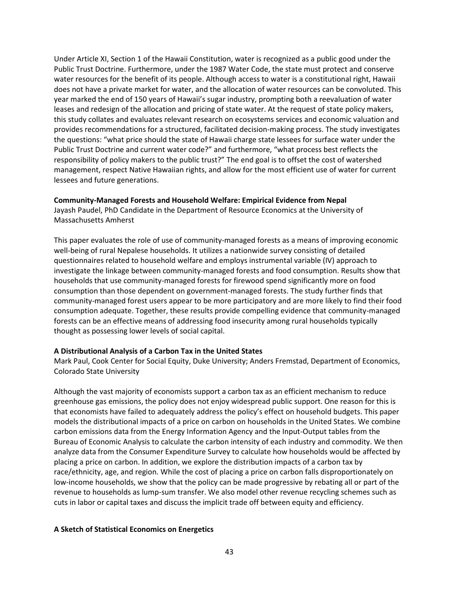Under Article XI, Section 1 of the Hawaii Constitution, water is recognized as a public good under the Public Trust Doctrine. Furthermore, under the 1987 Water Code, the state must protect and conserve water resources for the benefit of its people. Although access to water is a constitutional right, Hawaii does not have a private market for water, and the allocation of water resources can be convoluted. This year marked the end of 150 years of Hawaii's sugar industry, prompting both a reevaluation of water leases and redesign of the allocation and pricing of state water. At the request of state policy makers, this study collates and evaluates relevant research on ecosystems services and economic valuation and provides recommendations for a structured, facilitated decision-making process. The study investigates the questions: "what price should the state of Hawaii charge state lessees for surface water under the Public Trust Doctrine and current water code?" and furthermore, "what process best reflects the responsibility of policy makers to the public trust?" The end goal is to offset the cost of watershed management, respect Native Hawaiian rights, and allow for the most efficient use of water for current lessees and future generations.

#### **Community-Managed Forests and Household Welfare: Empirical Evidence from Nepal**

Jayash Paudel, PhD Candidate in the Department of Resource Economics at the University of Massachusetts Amherst

This paper evaluates the role of use of community-managed forests as a means of improving economic well-being of rural Nepalese households. It utilizes a nationwide survey consisting of detailed questionnaires related to household welfare and employs instrumental variable (IV) approach to investigate the linkage between community-managed forests and food consumption. Results show that households that use community-managed forests for firewood spend significantly more on food consumption than those dependent on government-managed forests. The study further finds that community-managed forest users appear to be more participatory and are more likely to find their food consumption adequate. Together, these results provide compelling evidence that community-managed forests can be an effective means of addressing food insecurity among rural households typically thought as possessing lower levels of social capital.

#### **A Distributional Analysis of a Carbon Tax in the United States**

Mark Paul, Cook Center for Social Equity, Duke University; Anders Fremstad, Department of Economics, Colorado State University

Although the vast majority of economists support a carbon tax as an efficient mechanism to reduce greenhouse gas emissions, the policy does not enjoy widespread public support. One reason for this is that economists have failed to adequately address the policy's effect on household budgets. This paper models the distributional impacts of a price on carbon on households in the United States. We combine carbon emissions data from the Energy Information Agency and the Input-Output tables from the Bureau of Economic Analysis to calculate the carbon intensity of each industry and commodity. We then analyze data from the Consumer Expenditure Survey to calculate how households would be affected by placing a price on carbon. In addition, we explore the distribution impacts of a carbon tax by race/ethnicity, age, and region. While the cost of placing a price on carbon falls disproportionately on low-income households, we show that the policy can be made progressive by rebating all or part of the revenue to households as lump-sum transfer. We also model other revenue recycling schemes such as cuts in labor or capital taxes and discuss the implicit trade off between equity and efficiency.

#### **A Sketch of Statistical Economics on Energetics**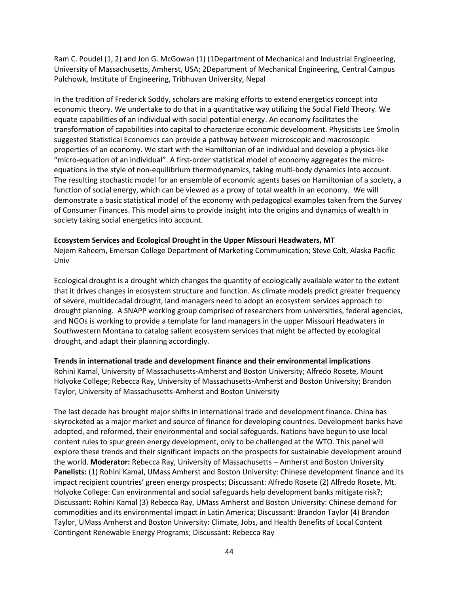Ram C. Poudel (1, 2) and Jon G. McGowan (1) (1Department of Mechanical and Industrial Engineering, University of Massachusetts, Amherst, USA; 2Department of Mechanical Engineering, Central Campus Pulchowk, Institute of Engineering, Tribhuvan University, Nepal

In the tradition of Frederick Soddy, scholars are making efforts to extend energetics concept into economic theory. We undertake to do that in a quantitative way utilizing the Social Field Theory. We equate capabilities of an individual with social potential energy. An economy facilitates the transformation of capabilities into capital to characterize economic development. Physicists Lee Smolin suggested Statistical Economics can provide a pathway between microscopic and macroscopic properties of an economy. We start with the Hamiltonian of an individual and develop a physics-like "micro-equation of an individual". A first-order statistical model of economy aggregates the microequations in the style of non-equilibrium thermodynamics, taking multi-body dynamics into account. The resulting stochastic model for an ensemble of economic agents bases on Hamiltonian of a society, a function of social energy, which can be viewed as a proxy of total wealth in an economy. We will demonstrate a basic statistical model of the economy with pedagogical examples taken from the Survey of Consumer Finances. This model aims to provide insight into the origins and dynamics of wealth in society taking social energetics into account.

#### **Ecosystem Services and Ecological Drought in the Upper Missouri Headwaters, MT**

Nejem Raheem, Emerson College Department of Marketing Communication; Steve Colt, Alaska Pacific Univ

Ecological drought is a drought which changes the quantity of ecologically available water to the extent that it drives changes in ecosystem structure and function. As climate models predict greater frequency of severe, multidecadal drought, land managers need to adopt an ecosystem services approach to drought planning. A SNAPP working group comprised of researchers from universities, federal agencies, and NGOs is working to provide a template for land managers in the upper Missouri Headwaters in Southwestern Montana to catalog salient ecosystem services that might be affected by ecological drought, and adapt their planning accordingly.

#### **Trends in international trade and development finance and their environmental implications** Rohini Kamal, University of Massachusetts-Amherst and Boston University; Alfredo Rosete, Mount Holyoke College; Rebecca Ray, University of Massachusetts-Amherst and Boston University; Brandon Taylor, University of Massachusetts-Amherst and Boston University

The last decade has brought major shifts in international trade and development finance. China has skyrocketed as a major market and source of finance for developing countries. Development banks have adopted, and reformed, their environmental and social safeguards. Nations have begun to use local content rules to spur green energy development, only to be challenged at the WTO. This panel will explore these trends and their significant impacts on the prospects for sustainable development around the world. **Moderator:** Rebecca Ray, University of Massachusetts – Amherst and Boston University **Panelists:** (1) Rohini Kamal, UMass Amherst and Boston University: Chinese development finance and its impact recipient countries' green energy prospects; Discussant: Alfredo Rosete (2) Alfredo Rosete, Mt. Holyoke College: Can environmental and social safeguards help development banks mitigate risk?; Discussant: Rohini Kamal (3) Rebecca Ray, UMass Amherst and Boston University: Chinese demand for commodities and its environmental impact in Latin America; Discussant: Brandon Taylor (4) Brandon Taylor, UMass Amherst and Boston University: Climate, Jobs, and Health Benefits of Local Content Contingent Renewable Energy Programs; Discussant: Rebecca Ray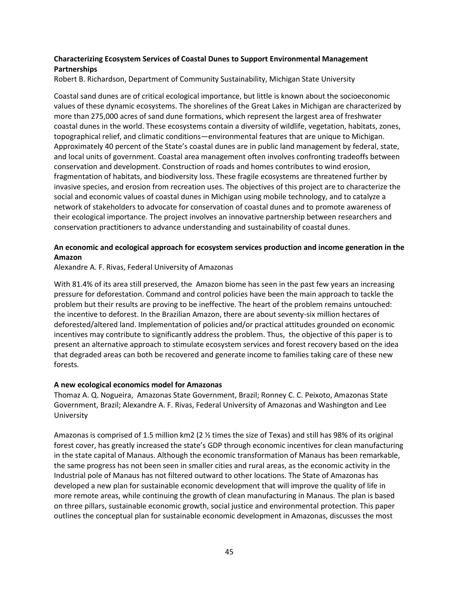#### **Characterizing Ecosystem Services of Coastal Dunes to Support Environmental Management Partnerships**

Robert B. Richardson, Department of Community Sustainability, Michigan State University

Coastal sand dunes are of critical ecological importance, but little is known about the socioeconomic values of these dynamic ecosystems. The shorelines of the Great Lakes in Michigan are characterized by more than 275,000 acres of sand dune formations, which represent the largest area of freshwater coastal dunes in the world. These ecosystems contain a diversity of wildlife, vegetation, habitats, zones, topographical relief, and climatic conditions—environmental features that are unique to Michigan. Approximately 40 percent of the State's coastal dunes are in public land management by federal, state, and local units of government. Coastal area management often involves confronting tradeoffs between conservation and development. Construction of roads and homes contributes to wind erosion, fragmentation of habitats, and biodiversity loss. These fragile ecosystems are threatened further by invasive species, and erosion from recreation uses. The objectives of this project are to characterize the social and economic values of coastal dunes in Michigan using mobile technology, and to catalyze a network of stakeholders to advocate for conservation of coastal dunes and to promote awareness of their ecological importance. The project involves an innovative partnership between researchers and conservation practitioners to advance understanding and sustainability of coastal dunes.

#### **An economic and ecological approach for ecosystem services production and income generation in the Amazon**

Alexandre A. F. Rivas, Federal University of Amazonas

With 81.4% of its area still preserved, the Amazon biome has seen in the past few years an increasing pressure for deforestation. Command and control policies have been the main approach to tackle the problem but their results are proving to be ineffective. The heart of the problem remains untouched: the incentive to deforest. In the Brazilian Amazon, there are about seventy-six million hectares of deforested/altered land. Implementation of policies and/or practical attitudes grounded on economic incentives may contribute to significantly address the problem. Thus, the objective of this paper is to present an alternative approach to stimulate ecosystem services and forest recovery based on the idea that degraded areas can both be recovered and generate income to families taking care of these new forests.

#### **A new ecological economics model for Amazonas**

Thomaz A. Q. Nogueira, Amazonas State Government, Brazil; Ronney C. C. Peixoto, Amazonas State Government, Brazil; Alexandre A. F. Rivas, Federal University of Amazonas and Washington and Lee University

Amazonas is comprised of 1.5 million km2 (2 ½ times the size of Texas) and still has 98% of its original forest cover, has greatly increased the state's GDP through economic incentives for clean manufacturing in the state capital of Manaus. Although the economic transformation of Manaus has been remarkable, the same progress has not been seen in smaller cities and rural areas, as the economic activity in the Industrial pole of Manaus has not filtered outward to other locations. The State of Amazonas has developed a new plan for sustainable economic development that will improve the quality of life in more remote areas, while continuing the growth of clean manufacturing in Manaus. The plan is based on three pillars, sustainable economic growth, social justice and environmental protection. This paper outlines the conceptual plan for sustainable economic development in Amazonas, discusses the most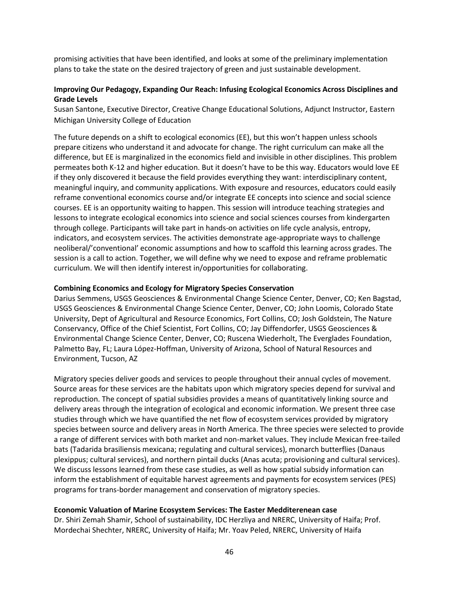promising activities that have been identified, and looks at some of the preliminary implementation plans to take the state on the desired trajectory of green and just sustainable development.

#### **Improving Our Pedagogy, Expanding Our Reach: Infusing Ecological Economics Across Disciplines and Grade Levels**

Susan Santone, Executive Director, Creative Change Educational Solutions, Adjunct Instructor, Eastern Michigan University College of Education

The future depends on a shift to ecological economics (EE), but this won't happen unless schools prepare citizens who understand it and advocate for change. The right curriculum can make all the difference, but EE is marginalized in the economics field and invisible in other disciplines. This problem permeates both K-12 and higher education. But it doesn't have to be this way. Educators would love EE if they only discovered it because the field provides everything they want: interdisciplinary content, meaningful inquiry, and community applications. With exposure and resources, educators could easily reframe conventional economics course and/or integrate EE concepts into science and social science courses. EE is an opportunity waiting to happen. This session will introduce teaching strategies and lessons to integrate ecological economics into science and social sciences courses from kindergarten through college. Participants will take part in hands-on activities on life cycle analysis, entropy, indicators, and ecosystem services. The activities demonstrate age-appropriate ways to challenge neoliberal/'conventional' economic assumptions and how to scaffold this learning across grades. The session is a call to action. Together, we will define why we need to expose and reframe problematic curriculum. We will then identify interest in/opportunities for collaborating.

#### **Combining Economics and Ecology for Migratory Species Conservation**

Darius Semmens, USGS Geosciences & Environmental Change Science Center, Denver, CO; Ken Bagstad, USGS Geosciences & Environmental Change Science Center, Denver, CO; John Loomis, Colorado State University, Dept of Agricultural and Resource Economics, Fort Collins, CO; Josh Goldstein, The Nature Conservancy, Office of the Chief Scientist, Fort Collins, CO; Jay Diffendorfer, USGS Geosciences & Environmental Change Science Center, Denver, CO; Ruscena Wiederholt, The Everglades Foundation, Palmetto Bay, FL; Laura López-Hoffman, University of Arizona, School of Natural Resources and Environment, Tucson, AZ

Migratory species deliver goods and services to people throughout their annual cycles of movement. Source areas for these services are the habitats upon which migratory species depend for survival and reproduction. The concept of spatial subsidies provides a means of quantitatively linking source and delivery areas through the integration of ecological and economic information. We present three case studies through which we have quantified the net flow of ecosystem services provided by migratory species between source and delivery areas in North America. The three species were selected to provide a range of different services with both market and non-market values. They include Mexican free-tailed bats (Tadarida brasiliensis mexicana; regulating and cultural services), monarch butterflies (Danaus plexippus; cultural services), and northern pintail ducks (Anas acuta; provisioning and cultural services). We discuss lessons learned from these case studies, as well as how spatial subsidy information can inform the establishment of equitable harvest agreements and payments for ecosystem services (PES) programs for trans-border management and conservation of migratory species.

#### **Economic Valuation of Marine Ecosystem Services: The Easter Medditerenean case**

Dr. Shiri Zemah Shamir, School of sustainability, IDC Herzliya and NRERC, University of Haifa; Prof. Mordechai Shechter, NRERC, University of Haifa; Mr. Yoav Peled, NRERC, University of Haifa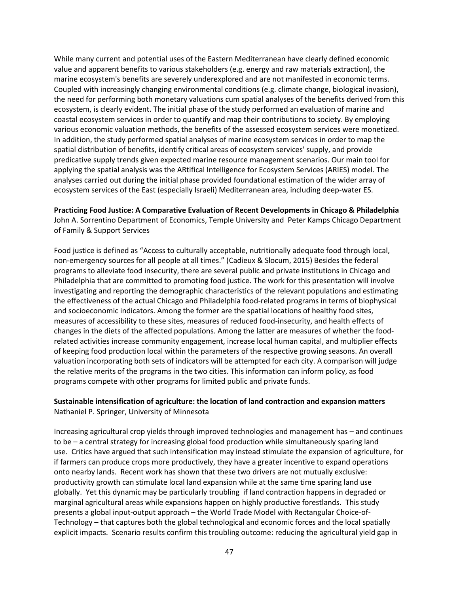While many current and potential uses of the Eastern Mediterranean have clearly defined economic value and apparent benefits to various stakeholders (e.g. energy and raw materials extraction), the marine ecosystem's benefits are severely underexplored and are not manifested in economic terms. Coupled with increasingly changing environmental conditions (e.g. climate change, biological invasion), the need for performing both monetary valuations cum spatial analyses of the benefits derived from this ecosystem, is clearly evident. The initial phase of the study performed an evaluation of marine and coastal ecosystem services in order to quantify and map their contributions to society. By employing various economic valuation methods, the benefits of the assessed ecosystem services were monetized. In addition, the study performed spatial analyses of marine ecosystem services in order to map the spatial distribution of benefits, identify critical areas of ecosystem services' supply, and provide predicative supply trends given expected marine resource management scenarios. Our main tool for applying the spatial analysis was the ARtifical Intelligence for Ecosystem Services (ARIES) model. The analyses carried out during the initial phase provided foundational estimation of the wider array of ecosystem services of the East (especially Israeli) Mediterranean area, including deep-water ES.

**Practicing Food Justice: A Comparative Evaluation of Recent Developments in Chicago & Philadelphia** John A. Sorrentino Department of Economics, Temple University and Peter Kamps Chicago Department of Family & Support Services

Food justice is defined as "Access to culturally acceptable, nutritionally adequate food through local, non-emergency sources for all people at all times." (Cadieux & Slocum, 2015) Besides the federal programs to alleviate food insecurity, there are several public and private institutions in Chicago and Philadelphia that are committed to promoting food justice. The work for this presentation will involve investigating and reporting the demographic characteristics of the relevant populations and estimating the effectiveness of the actual Chicago and Philadelphia food-related programs in terms of biophysical and socioeconomic indicators. Among the former are the spatial locations of healthy food sites, measures of accessibility to these sites, measures of reduced food-insecurity, and health effects of changes in the diets of the affected populations. Among the latter are measures of whether the foodrelated activities increase community engagement, increase local human capital, and multiplier effects of keeping food production local within the parameters of the respective growing seasons. An overall valuation incorporating both sets of indicators will be attempted for each city. A comparison will judge the relative merits of the programs in the two cities. This information can inform policy, as food programs compete with other programs for limited public and private funds.

#### **Sustainable intensification of agriculture: the location of land contraction and expansion matters** Nathaniel P. Springer, University of Minnesota

Increasing agricultural crop yields through improved technologies and management has – and continues to be – a central strategy for increasing global food production while simultaneously sparing land use. Critics have argued that such intensification may instead stimulate the expansion of agriculture, for if farmers can produce crops more productively, they have a greater incentive to expand operations onto nearby lands. Recent work has shown that these two drivers are not mutually exclusive: productivity growth can stimulate local land expansion while at the same time sparing land use globally. Yet this dynamic may be particularly troubling if land contraction happens in degraded or marginal agricultural areas while expansions happen on highly productive forestlands. This study presents a global input-output approach – the World Trade Model with Rectangular Choice-of-Technology – that captures both the global technological and economic forces and the local spatially explicit impacts. Scenario results confirm this troubling outcome: reducing the agricultural yield gap in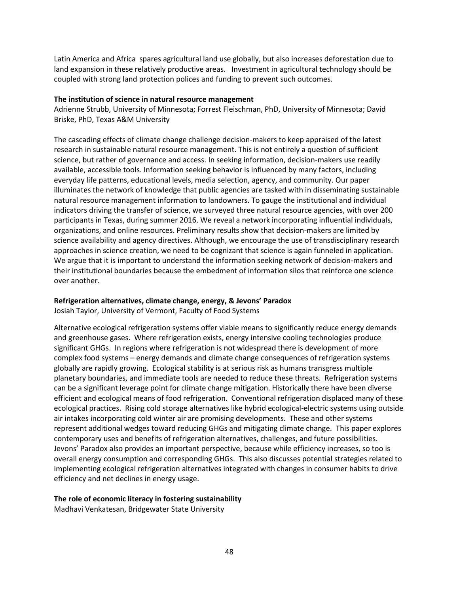Latin America and Africa spares agricultural land use globally, but also increases deforestation due to land expansion in these relatively productive areas. Investment in agricultural technology should be coupled with strong land protection polices and funding to prevent such outcomes.

#### **The institution of science in natural resource management**

Adrienne Strubb, University of Minnesota; Forrest Fleischman, PhD, University of Minnesota; David Briske, PhD, Texas A&M University

The cascading effects of climate change challenge decision-makers to keep appraised of the latest research in sustainable natural resource management. This is not entirely a question of sufficient science, but rather of governance and access. In seeking information, decision-makers use readily available, accessible tools. Information seeking behavior is influenced by many factors, including everyday life patterns, educational levels, media selection, agency, and community. Our paper illuminates the network of knowledge that public agencies are tasked with in disseminating sustainable natural resource management information to landowners. To gauge the institutional and individual indicators driving the transfer of science, we surveyed three natural resource agencies, with over 200 participants in Texas, during summer 2016. We reveal a network incorporating influential individuals, organizations, and online resources. Preliminary results show that decision-makers are limited by science availability and agency directives. Although, we encourage the use of transdisciplinary research approaches in science creation, we need to be cognizant that science is again funneled in application. We argue that it is important to understand the information seeking network of decision-makers and their institutional boundaries because the embedment of information silos that reinforce one science over another.

### **Refrigeration alternatives, climate change, energy, & Jevons' Paradox**

Josiah Taylor, University of Vermont, Faculty of Food Systems

Alternative ecological refrigeration systems offer viable means to significantly reduce energy demands and greenhouse gases. Where refrigeration exists, energy intensive cooling technologies produce significant GHGs. In regions where refrigeration is not widespread there is development of more complex food systems – energy demands and climate change consequences of refrigeration systems globally are rapidly growing. Ecological stability is at serious risk as humans transgress multiple planetary boundaries, and immediate tools are needed to reduce these threats. Refrigeration systems can be a significant leverage point for climate change mitigation. Historically there have been diverse efficient and ecological means of food refrigeration. Conventional refrigeration displaced many of these ecological practices. Rising cold storage alternatives like hybrid ecological-electric systems using outside air intakes incorporating cold winter air are promising developments. These and other systems represent additional wedges toward reducing GHGs and mitigating climate change. This paper explores contemporary uses and benefits of refrigeration alternatives, challenges, and future possibilities. Jevons' Paradox also provides an important perspective, because while efficiency increases, so too is overall energy consumption and corresponding GHGs. This also discusses potential strategies related to implementing ecological refrigeration alternatives integrated with changes in consumer habits to drive efficiency and net declines in energy usage.

#### **The role of economic literacy in fostering sustainability**

Madhavi Venkatesan, Bridgewater State University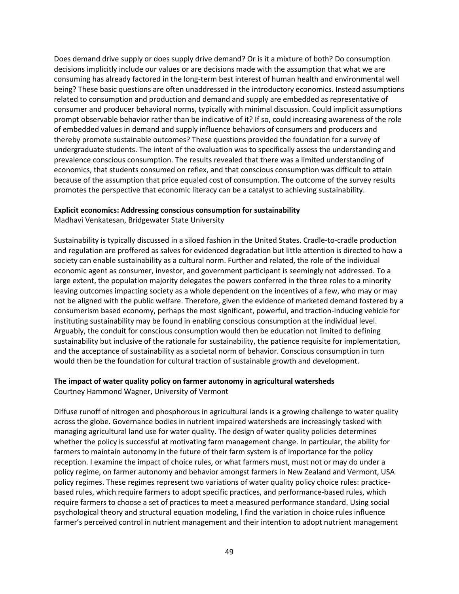Does demand drive supply or does supply drive demand? Or is it a mixture of both? Do consumption decisions implicitly include our values or are decisions made with the assumption that what we are consuming has already factored in the long-term best interest of human health and environmental well being? These basic questions are often unaddressed in the introductory economics. Instead assumptions related to consumption and production and demand and supply are embedded as representative of consumer and producer behavioral norms, typically with minimal discussion. Could implicit assumptions prompt observable behavior rather than be indicative of it? If so, could increasing awareness of the role of embedded values in demand and supply influence behaviors of consumers and producers and thereby promote sustainable outcomes? These questions provided the foundation for a survey of undergraduate students. The intent of the evaluation was to specifically assess the understanding and prevalence conscious consumption. The results revealed that there was a limited understanding of economics, that students consumed on reflex, and that conscious consumption was difficult to attain because of the assumption that price equaled cost of consumption. The outcome of the survey results promotes the perspective that economic literacy can be a catalyst to achieving sustainability.

#### **Explicit economics: Addressing conscious consumption for sustainability**

Madhavi Venkatesan, Bridgewater State University

Sustainability is typically discussed in a siloed fashion in the United States. Cradle-to-cradle production and regulation are proffered as salves for evidenced degradation but little attention is directed to how a society can enable sustainability as a cultural norm. Further and related, the role of the individual economic agent as consumer, investor, and government participant is seemingly not addressed. To a large extent, the population majority delegates the powers conferred in the three roles to a minority leaving outcomes impacting society as a whole dependent on the incentives of a few, who may or may not be aligned with the public welfare. Therefore, given the evidence of marketed demand fostered by a consumerism based economy, perhaps the most significant, powerful, and traction-inducing vehicle for instituting sustainability may be found in enabling conscious consumption at the individual level. Arguably, the conduit for conscious consumption would then be education not limited to defining sustainability but inclusive of the rationale for sustainability, the patience requisite for implementation, and the acceptance of sustainability as a societal norm of behavior. Conscious consumption in turn would then be the foundation for cultural traction of sustainable growth and development.

#### **The impact of water quality policy on farmer autonomy in agricultural watersheds**

Courtney Hammond Wagner, University of Vermont

Diffuse runoff of nitrogen and phosphorous in agricultural lands is a growing challenge to water quality across the globe. Governance bodies in nutrient impaired watersheds are increasingly tasked with managing agricultural land use for water quality. The design of water quality policies determines whether the policy is successful at motivating farm management change. In particular, the ability for farmers to maintain autonomy in the future of their farm system is of importance for the policy reception. I examine the impact of choice rules, or what farmers must, must not or may do under a policy regime, on farmer autonomy and behavior amongst farmers in New Zealand and Vermont, USA policy regimes. These regimes represent two variations of water quality policy choice rules: practicebased rules, which require farmers to adopt specific practices, and performance-based rules, which require farmers to choose a set of practices to meet a measured performance standard. Using social psychological theory and structural equation modeling, I find the variation in choice rules influence farmer's perceived control in nutrient management and their intention to adopt nutrient management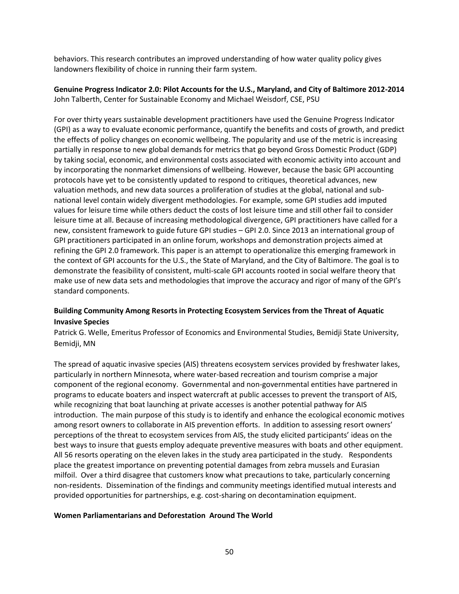behaviors. This research contributes an improved understanding of how water quality policy gives landowners flexibility of choice in running their farm system.

**Genuine Progress Indicator 2.0: Pilot Accounts for the U.S., Maryland, and City of Baltimore 2012-2014** John Talberth, Center for Sustainable Economy and Michael Weisdorf, CSE, PSU

For over thirty years sustainable development practitioners have used the Genuine Progress Indicator (GPI) as a way to evaluate economic performance, quantify the benefits and costs of growth, and predict the effects of policy changes on economic wellbeing. The popularity and use of the metric is increasing partially in response to new global demands for metrics that go beyond Gross Domestic Product (GDP) by taking social, economic, and environmental costs associated with economic activity into account and by incorporating the nonmarket dimensions of wellbeing. However, because the basic GPI accounting protocols have yet to be consistently updated to respond to critiques, theoretical advances, new valuation methods, and new data sources a proliferation of studies at the global, national and subnational level contain widely divergent methodologies. For example, some GPI studies add imputed values for leisure time while others deduct the costs of lost leisure time and still other fail to consider leisure time at all. Because of increasing methodological divergence, GPI practitioners have called for a new, consistent framework to guide future GPI studies – GPI 2.0. Since 2013 an international group of GPI practitioners participated in an online forum, workshops and demonstration projects aimed at refining the GPI 2.0 framework. This paper is an attempt to operationalize this emerging framework in the context of GPI accounts for the U.S., the State of Maryland, and the City of Baltimore. The goal is to demonstrate the feasibility of consistent, multi-scale GPI accounts rooted in social welfare theory that make use of new data sets and methodologies that improve the accuracy and rigor of many of the GPI's standard components.

#### **Building Community Among Resorts in Protecting Ecosystem Services from the Threat of Aquatic Invasive Species**

Patrick G. Welle, Emeritus Professor of Economics and Environmental Studies, Bemidji State University, Bemidji, MN

The spread of aquatic invasive species (AIS) threatens ecosystem services provided by freshwater lakes, particularly in northern Minnesota, where water-based recreation and tourism comprise a major component of the regional economy. Governmental and non-governmental entities have partnered in programs to educate boaters and inspect watercraft at public accesses to prevent the transport of AIS, while recognizing that boat launching at private accesses is another potential pathway for AIS introduction. The main purpose of this study is to identify and enhance the ecological economic motives among resort owners to collaborate in AIS prevention efforts. In addition to assessing resort owners' perceptions of the threat to ecosystem services from AIS, the study elicited participants' ideas on the best ways to insure that guests employ adequate preventive measures with boats and other equipment. All 56 resorts operating on the eleven lakes in the study area participated in the study. Respondents place the greatest importance on preventing potential damages from zebra mussels and Eurasian milfoil. Over a third disagree that customers know what precautions to take, particularly concerning non-residents. Dissemination of the findings and community meetings identified mutual interests and provided opportunities for partnerships, e.g. cost-sharing on decontamination equipment.

#### **Women Parliamentarians and Deforestation Around The World**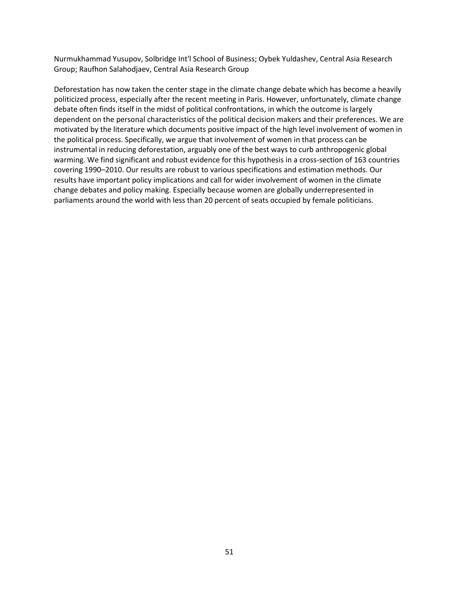Nurmukhammad Yusupov, Solbridge Int'l School of Business; Oybek Yuldashev, Central Asia Research Group; Raufhon Salahodjaev, Central Asia Research Group

Deforestation has now taken the center stage in the climate change debate which has become a heavily politicized process, especially after the recent meeting in Paris. However, unfortunately, climate change debate often finds itself in the midst of political confrontations, in which the outcome is largely dependent on the personal characteristics of the political decision makers and their preferences. We are motivated by the literature which documents positive impact of the high level involvement of women in the political process. Specifically, we argue that involvement of women in that process can be instrumental in reducing deforestation, arguably one of the best ways to curb anthropogenic global warming. We find significant and robust evidence for this hypothesis in a cross-section of 163 countries covering 1990–2010. Our results are robust to various specifications and estimation methods. Our results have important policy implications and call for wider involvement of women in the climate change debates and policy making. Especially because women are globally underrepresented in parliaments around the world with less than 20 percent of seats occupied by female politicians.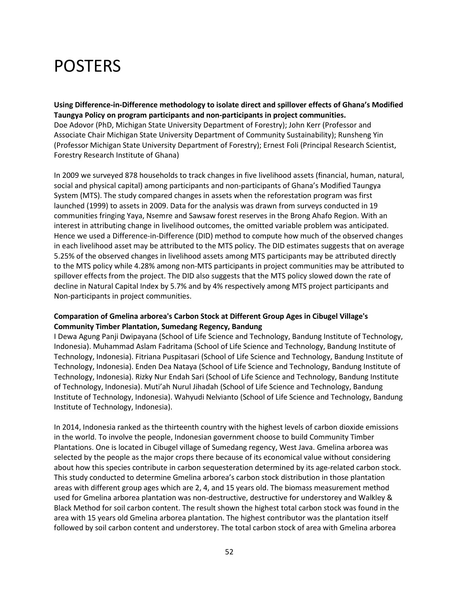## POSTERS

**Using Difference-in-Difference methodology to isolate direct and spillover effects of Ghana's Modified Taungya Policy on program participants and non-participants in project communities.** Doe Adovor (PhD, Michigan State University Department of Forestry); John Kerr (Professor and Associate Chair Michigan State University Department of Community Sustainability); Runsheng Yin (Professor Michigan State University Department of Forestry); Ernest Foli (Principal Research Scientist, Forestry Research Institute of Ghana)

In 2009 we surveyed 878 households to track changes in five livelihood assets (financial, human, natural, social and physical capital) among participants and non-participants of Ghana's Modified Taungya System (MTS). The study compared changes in assets when the reforestation program was first launched (1999) to assets in 2009. Data for the analysis was drawn from surveys conducted in 19 communities fringing Yaya, Nsemre and Sawsaw forest reserves in the Brong Ahafo Region. With an interest in attributing change in livelihood outcomes, the omitted variable problem was anticipated. Hence we used a Difference-in-Difference (DID) method to compute how much of the observed changes in each livelihood asset may be attributed to the MTS policy. The DID estimates suggests that on average 5.25% of the observed changes in livelihood assets among MTS participants may be attributed directly to the MTS policy while 4.28% among non-MTS participants in project communities may be attributed to spillover effects from the project. The DID also suggests that the MTS policy slowed down the rate of decline in Natural Capital Index by 5.7% and by 4% respectively among MTS project participants and Non-participants in project communities.

#### **Comparation of Gmelina arborea's Carbon Stock at Different Group Ages in Cibugel Village's Community Timber Plantation, Sumedang Regency, Bandung**

I Dewa Agung Panji Dwipayana (School of Life Science and Technology, Bandung Institute of Technology, Indonesia). Muhammad Aslam Fadritama (School of Life Science and Technology, Bandung Institute of Technology, Indonesia). Fitriana Puspitasari (School of Life Science and Technology, Bandung Institute of Technology, Indonesia). Enden Dea Nataya (School of Life Science and Technology, Bandung Institute of Technology, Indonesia). Rizky Nur Endah Sari (School of Life Science and Technology, Bandung Institute of Technology, Indonesia). Muti'ah Nurul Jihadah (School of Life Science and Technology, Bandung Institute of Technology, Indonesia). Wahyudi Nelvianto (School of Life Science and Technology, Bandung Institute of Technology, Indonesia).

In 2014, Indonesia ranked as the thirteenth country with the highest levels of carbon dioxide emissions in the world. To involve the people, Indonesian government choose to build Community Timber Plantations. One is located in Cibugel village of Sumedang regency, West Java. Gmelina arborea was selected by the people as the major crops there because of its economical value without considering about how this species contribute in carbon sequesteration determined by its age-related carbon stock. This study conducted to determine Gmelina arborea's carbon stock distribution in those plantation areas with different group ages which are 2, 4, and 15 years old. The biomass measurement method used for Gmelina arborea plantation was non-destructive, destructive for understorey and Walkley & Black Method for soil carbon content. The result shown the highest total carbon stock was found in the area with 15 years old Gmelina arborea plantation. The highest contributor was the plantation itself followed by soil carbon content and understorey. The total carbon stock of area with Gmelina arborea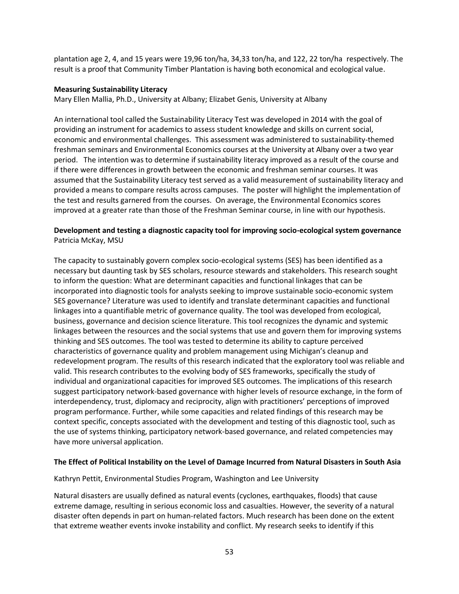plantation age 2, 4, and 15 years were 19,96 ton/ha, 34,33 ton/ha, and 122, 22 ton/ha respectively. The result is a proof that Community Timber Plantation is having both economical and ecological value.

#### **Measuring Sustainability Literacy**

Mary Ellen Mallia, Ph.D., University at Albany; Elizabet Genis, University at Albany

An international tool called the Sustainability Literacy Test was developed in 2014 with the goal of providing an instrument for academics to assess student knowledge and skills on current social, economic and environmental challenges. This assessment was administered to sustainability-themed freshman seminars and Environmental Economics courses at the University at Albany over a two year period. The intention was to determine if sustainability literacy improved as a result of the course and if there were differences in growth between the economic and freshman seminar courses. It was assumed that the Sustainability Literacy test served as a valid measurement of sustainability literacy and provided a means to compare results across campuses. The poster will highlight the implementation of the test and results garnered from the courses. On average, the Environmental Economics scores improved at a greater rate than those of the Freshman Seminar course, in line with our hypothesis.

#### **Development and testing a diagnostic capacity tool for improving socio-ecological system governance** Patricia McKay, MSU

The capacity to sustainably govern complex socio-ecological systems (SES) has been identified as a necessary but daunting task by SES scholars, resource stewards and stakeholders. This research sought to inform the question: What are determinant capacities and functional linkages that can be incorporated into diagnostic tools for analysts seeking to improve sustainable socio-economic system SES governance? Literature was used to identify and translate determinant capacities and functional linkages into a quantifiable metric of governance quality. The tool was developed from ecological, business, governance and decision science literature. This tool recognizes the dynamic and systemic linkages between the resources and the social systems that use and govern them for improving systems thinking and SES outcomes. The tool was tested to determine its ability to capture perceived characteristics of governance quality and problem management using Michigan's cleanup and redevelopment program. The results of this research indicated that the exploratory tool was reliable and valid. This research contributes to the evolving body of SES frameworks, specifically the study of individual and organizational capacities for improved SES outcomes. The implications of this research suggest participatory network-based governance with higher levels of resource exchange, in the form of interdependency, trust, diplomacy and reciprocity, align with practitioners' perceptions of improved program performance. Further, while some capacities and related findings of this research may be context specific, concepts associated with the development and testing of this diagnostic tool, such as the use of systems thinking, participatory network-based governance, and related competencies may have more universal application.

#### **The Effect of Political Instability on the Level of Damage Incurred from Natural Disasters in South Asia**

Kathryn Pettit, Environmental Studies Program, Washington and Lee University

Natural disasters are usually defined as natural events (cyclones, earthquakes, floods) that cause extreme damage, resulting in serious economic loss and casualties. However, the severity of a natural disaster often depends in part on human-related factors. Much research has been done on the extent that extreme weather events invoke instability and conflict. My research seeks to identify if this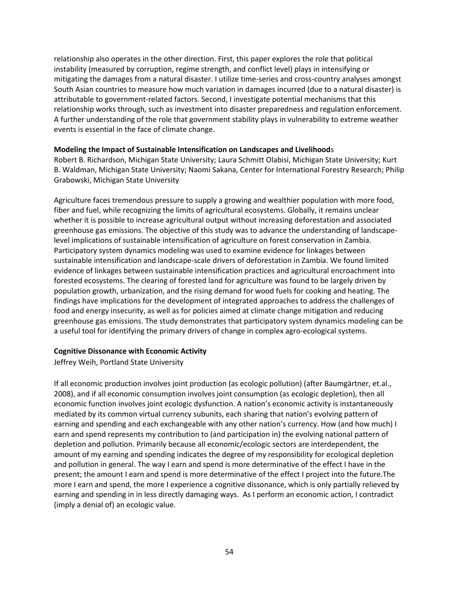relationship also operates in the other direction. First, this paper explores the role that political instability (measured by corruption, regime strength, and conflict level) plays in intensifying or mitigating the damages from a natural disaster. I utilize time-series and cross-country analyses amongst South Asian countries to measure how much variation in damages incurred (due to a natural disaster) is attributable to government-related factors. Second, I investigate potential mechanisms that this relationship works through, such as investment into disaster preparedness and regulation enforcement. A further understanding of the role that government stability plays in vulnerability to extreme weather events is essential in the face of climate change.

#### **Modeling the Impact of Sustainable Intensification on Landscapes and Livelihood**s

Robert B. Richardson, Michigan State University; Laura Schmitt Olabisi, Michigan State University; Kurt B. Waldman, Michigan State University; Naomi Sakana, Center for International Forestry Research; Philip Grabowski, Michigan State University

Agriculture faces tremendous pressure to supply a growing and wealthier population with more food, fiber and fuel, while recognizing the limits of agricultural ecosystems. Globally, it remains unclear whether it is possible to increase agricultural output without increasing deforestation and associated greenhouse gas emissions. The objective of this study was to advance the understanding of landscapelevel implications of sustainable intensification of agriculture on forest conservation in Zambia. Participatory system dynamics modeling was used to examine evidence for linkages between sustainable intensification and landscape-scale drivers of deforestation in Zambia. We found limited evidence of linkages between sustainable intensification practices and agricultural encroachment into forested ecosystems. The clearing of forested land for agriculture was found to be largely driven by population growth, urbanization, and the rising demand for wood fuels for cooking and heating. The findings have implications for the development of integrated approaches to address the challenges of food and energy insecurity, as well as for policies aimed at climate change mitigation and reducing greenhouse gas emissions. The study demonstrates that participatory system dynamics modeling can be a useful tool for identifying the primary drivers of change in complex agro-ecological systems.

#### **Cognitive Dissonance with Economic Activity**

Jeffrey Weih, Portland State University

If all economic production involves joint production (as ecologic pollution) (after Baumgärtner, et.al., 2008), and if all economic consumption involves joint consumption (as ecologic depletion), then all economic function involves joint ecologic dysfunction. A nation's economic activity is instantaneously mediated by its common virtual currency subunits, each sharing that nation's evolving pattern of earning and spending and each exchangeable with any other nation's currency. How (and how much) I earn and spend represents my contribution to (and participation in) the evolving national pattern of depletion and pollution. Primarily because all economic/ecologic sectors are interdependent, the amount of my earning and spending indicates the degree of my responsibility for ecological depletion and pollution in general. The way I earn and spend is more determinative of the effect I have in the present; the amount I earn and spend is more determinative of the effect I project into the future.The more I earn and spend, the more I experience a cognitive dissonance, which is only partially relieved by earning and spending in in less directly damaging ways. As I perform an economic action, I contradict (imply a denial of) an ecologic value.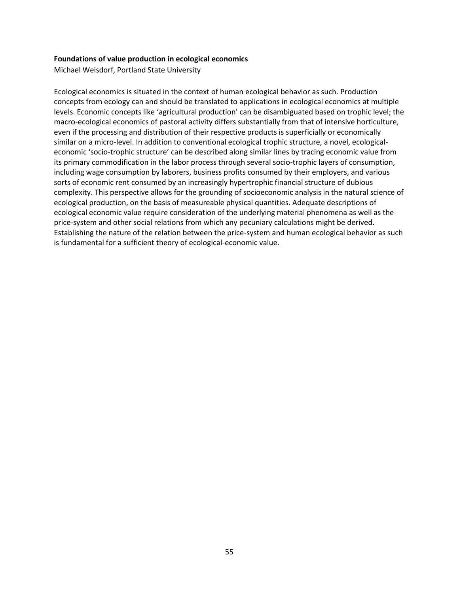#### **Foundations of value production in ecological economics**

Michael Weisdorf, Portland State University

Ecological economics is situated in the context of human ecological behavior as such. Production concepts from ecology can and should be translated to applications in ecological economics at multiple levels. Economic concepts like 'agricultural production' can be disambiguated based on trophic level; the macro-ecological economics of pastoral activity differs substantially from that of intensive horticulture, even if the processing and distribution of their respective products is superficially or economically similar on a micro-level. In addition to conventional ecological trophic structure, a novel, ecologicaleconomic 'socio-trophic structure' can be described along similar lines by tracing economic value from its primary commodification in the labor process through several socio-trophic layers of consumption, including wage consumption by laborers, business profits consumed by their employers, and various sorts of economic rent consumed by an increasingly hypertrophic financial structure of dubious complexity. This perspective allows for the grounding of socioeconomic analysis in the natural science of ecological production, on the basis of measureable physical quantities. Adequate descriptions of ecological economic value require consideration of the underlying material phenomena as well as the price-system and other social relations from which any pecuniary calculations might be derived. Establishing the nature of the relation between the price-system and human ecological behavior as such is fundamental for a sufficient theory of ecological-economic value.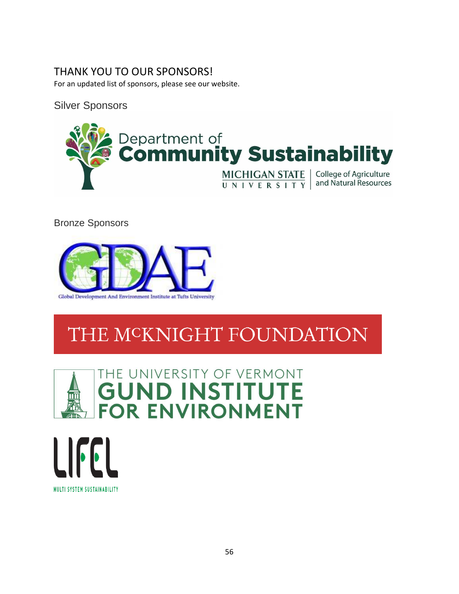### THANK YOU TO OUR SPONSORS!

For an updated list of sponsors, please see our website.

Silver Sponsors



Bronze Sponsors



# THE MCKNIGHT FOUNDATION



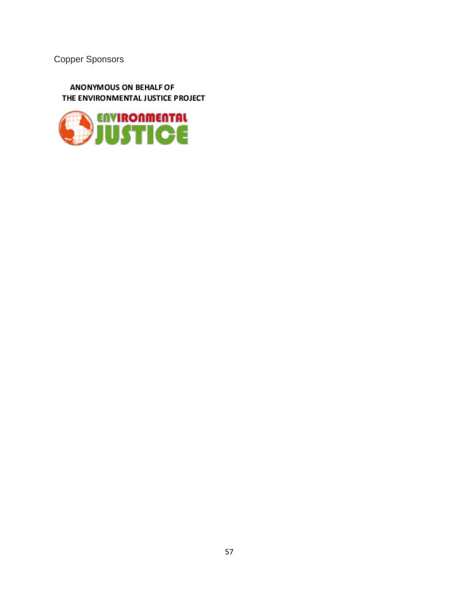Copper Sponsors

ANONYMOUS ON BEHALF OF THE ENVIRONMENTAL JUSTICE PROJECT